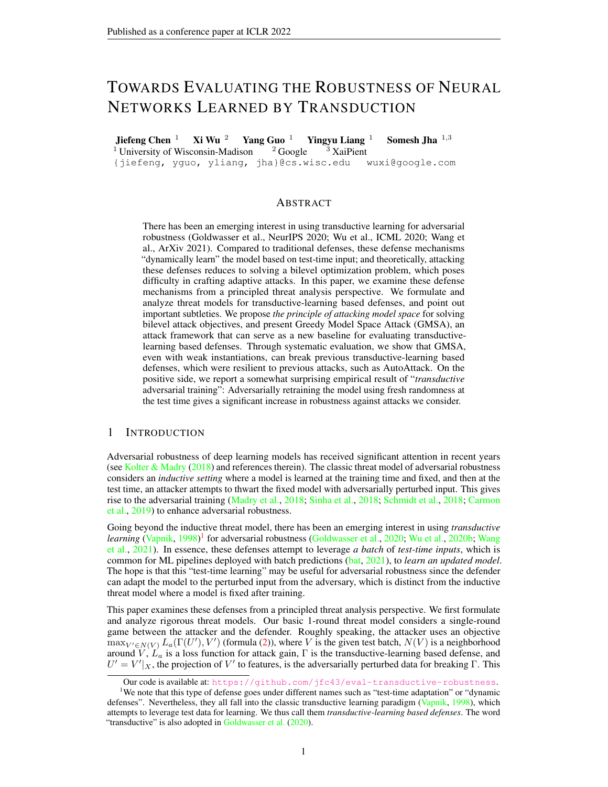# TOWARDS EVALUATING THE ROBUSTNESS OF NEURAL NETWORKS LEARNED BY TRANSDUCTION

**Jiefeng Chen** <sup>1</sup> **Xi Wu** <sup>2</sup> **Yang Guo** <sup>1</sup> **Yingyu Liang** <sup>1</sup> **Somesh Jha** <sup>1,3</sup> <sup>1</sup> University of Wisconsin-Madison <sup>2</sup> Google <sup>3</sup> XaiPient  $1$  University of Wisconsin-Madison {jiefeng, yguo, yliang, jha}@cs.wisc.edu wuxi@google.com

# ABSTRACT

There has been an emerging interest in using transductive learning for adversarial robustness (Goldwasser et al., NeurIPS 2020; Wu et al., ICML 2020; Wang et al., ArXiv 2021). Compared to traditional defenses, these defense mechanisms "dynamically learn" the model based on test-time input; and theoretically, attacking these defenses reduces to solving a bilevel optimization problem, which poses difficulty in crafting adaptive attacks. In this paper, we examine these defense mechanisms from a principled threat analysis perspective. We formulate and analyze threat models for transductive-learning based defenses, and point out important subtleties. We propose *the principle of attacking model space* for solving bilevel attack objectives, and present Greedy Model Space Attack (GMSA), an attack framework that can serve as a new baseline for evaluating transductivelearning based defenses. Through systematic evaluation, we show that GMSA, even with weak instantiations, can break previous transductive-learning based defenses, which were resilient to previous attacks, such as AutoAttack. On the positive side, we report a somewhat surprising empirical result of "*transductive* adversarial training": Adversarially retraining the model using fresh randomness at the test time gives a significant increase in robustness against attacks we consider.

## 1 INTRODUCTION

Adversarial robustness of deep learning models has received significant attention in recent years (see [Kolter & Madry](#page-10-0) [\(2018\)](#page-10-0) and references therein). The classic threat model of adversarial robustness considers an *inductive setting* where a model is learned at the training time and fixed, and then at the test time, an attacker attempts to thwart the fixed model with adversarially perturbed input. This gives rise to the adversarial training [\(Madry et al.,](#page-10-1) [2018;](#page-10-1) [Sinha et al.,](#page-11-0) [2018;](#page-11-0) [Schmidt et al.,](#page-11-1) [2018;](#page-11-1) [Carmon](#page-9-0) [et al.,](#page-9-0) [2019\)](#page-9-0) to enhance adversarial robustness.

Going beyond the inductive threat model, there has been an emerging interest in using *transductive* learning [\(Vapnik,](#page-11-2) [1998\)](#page-11-2)<sup>[1](#page-0-0)</sup> for adversarial robustness [\(Goldwasser et al.,](#page-10-2) [2020;](#page-10-2) [Wu et al.,](#page-11-3) [2020b;](#page-11-3) [Wang](#page-11-4) [et al.,](#page-11-4) [2021\)](#page-11-4). In essence, these defenses attempt to leverage *a batch* of *test-time inputs*, which is common for ML pipelines deployed with batch predictions [\(bat,](#page-9-1) [2021\)](#page-9-1), to *learn an updated model*. The hope is that this "test-time learning" may be useful for adversarial robustness since the defender can adapt the model to the perturbed input from the adversary, which is distinct from the inductive threat model where a model is fixed after training.

This paper examines these defenses from a principled threat analysis perspective. We first formulate and analyze rigorous threat models. Our basic 1-round threat model considers a single-round game between the attacker and the defender. Roughly speaking, the attacker uses an objective  $\max_{V' \in N(V)} L_a(\Gamma(U'), V')$  (formula [\(2\)](#page-4-0)), where V is the given test batch,  $N(V)$  is a neighborhood around  $V, L_a$  is a loss function for attack gain,  $\Gamma$  is the transductive-learning based defense, and  $U' = V'|_X$ , the projection of V' to features, is the adversarially perturbed data for breaking Γ. This

<span id="page-0-0"></span>Our code is available at: <https://github.com/jfc43/eval-transductive-robustness>.

<sup>&</sup>lt;sup>1</sup>We note that this type of defense goes under different names such as "test-time adaptation" or "dynamic" defenses". Nevertheless, they all fall into the classic transductive learning paradigm [\(Vapnik,](#page-11-2) [1998\)](#page-11-2), which attempts to leverage test data for learning. We thus call them *transductive-learning based defenses*. The word "transductive" is also adopted in [Goldwasser et al.](#page-10-2) [\(2020\)](#page-10-2).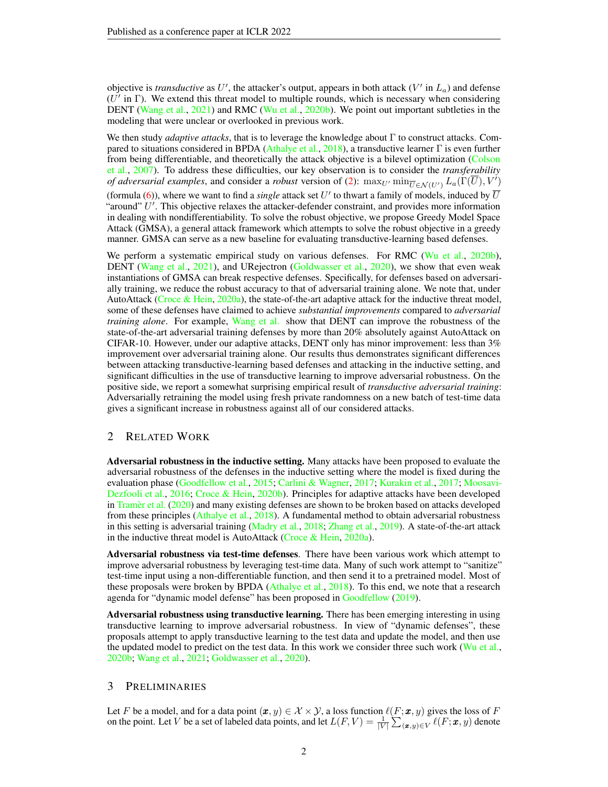objective is *transductive* as  $U'$ , the attacker's output, appears in both attack  $(V'$  in  $L_a$ ) and defense  $(U^{\prime})$  in  $\Gamma$ ). We extend this threat model to multiple rounds, which is necessary when considering DENT [\(Wang et al.,](#page-11-4) [2021\)](#page-11-4) and RMC [\(Wu et al.,](#page-11-3) [2020b\)](#page-11-3). We point out important subtleties in the modeling that were unclear or overlooked in previous work.

We then study *adaptive attacks*, that is to leverage the knowledge about Γ to construct attacks. Com-pared to situations considered in BPDA [\(Athalye et al.,](#page-9-2) [2018\)](#page-9-2), a transductive learner  $\Gamma$  is even further from being differentiable, and theoretically the attack objective is a bilevel optimization [\(Colson](#page-9-3) [et al.,](#page-9-3) [2007\)](#page-9-3). To address these difficulties, our key observation is to consider the *transferability of adversarial examples*, and consider a *robust* version of [\(2\)](#page-4-0):  $\max_{U'} \min_{\overline{U} \in \mathcal{N}(U')} L_a(\overline{\Gamma}(\overline{U}), V')$ 

(formula [\(6\)](#page-5-0)), where we want to find a *single* attack set  $U'$  to thwart a family of models, induced by  $\overline{U}$ "around"  $U'$ . This objective relaxes the attacker-defender constraint, and provides more information in dealing with nondifferentiability. To solve the robust objective, we propose Greedy Model Space Attack (GMSA), a general attack framework which attempts to solve the robust objective in a greedy manner. GMSA can serve as a new baseline for evaluating transductive-learning based defenses.

We perform a systematic empirical study on various defenses. For RMC [\(Wu et al.,](#page-11-3) [2020b\)](#page-11-3), DENT [\(Wang et al.,](#page-11-4) [2021\)](#page-11-4), and URejectron [\(Goldwasser et al.,](#page-10-2) [2020\)](#page-10-2), we show that even weak instantiations of GMSA can break respective defenses. Specifically, for defenses based on adversarially training, we reduce the robust accuracy to that of adversarial training alone. We note that, under AutoAttack [\(Croce & Hein,](#page-9-4) [2020a\)](#page-9-4), the state-of-the-art adaptive attack for the inductive threat model, some of these defenses have claimed to achieve *substantial improvements* compared to *adversarial training alone*. For example, [Wang et al.](#page-11-4) show that DENT can improve the robustness of the state-of-the-art adversarial training defenses by more than 20% absolutely against AutoAttack on CIFAR-10. However, under our adaptive attacks, DENT only has minor improvement: less than 3% improvement over adversarial training alone. Our results thus demonstrates significant differences between attacking transductive-learning based defenses and attacking in the inductive setting, and significant difficulties in the use of transductive learning to improve adversarial robustness. On the positive side, we report a somewhat surprising empirical result of *transductive adversarial training*: Adversarially retraining the model using fresh private randomness on a new batch of test-time data gives a significant increase in robustness against all of our considered attacks.

# 2 RELATED WORK

Adversarial robustness in the inductive setting. Many attacks have been proposed to evaluate the adversarial robustness of the defenses in the inductive setting where the model is fixed during the evaluation phase [\(Goodfellow et al.,](#page-10-3) [2015;](#page-10-3) [Carlini & Wagner,](#page-9-5) [2017;](#page-9-5) [Kurakin et al.,](#page-10-4) [2017;](#page-10-4) [Moosavi-](#page-11-5)[Dezfooli et al.,](#page-11-5) [2016;](#page-11-5) [Croce & Hein,](#page-9-6) [2020b\)](#page-9-6). Principles for adaptive attacks have been developed in [Tramèr et al.](#page-11-6) [\(2020\)](#page-11-6) and many existing defenses are shown to be broken based on attacks developed from these principles [\(Athalye et al.,](#page-9-2) [2018\)](#page-9-2). A fundamental method to obtain adversarial robustness in this setting is adversarial training [\(Madry et al.,](#page-10-1) [2018;](#page-10-1) [Zhang et al.,](#page-11-7) [2019\)](#page-11-7). A state-of-the-art attack in the inductive threat model is AutoAttack [\(Croce & Hein,](#page-9-4) [2020a\)](#page-9-4).

Adversarial robustness via test-time defenses. There have been various work which attempt to improve adversarial robustness by leveraging test-time data. Many of such work attempt to "sanitize" test-time input using a non-differentiable function, and then send it to a pretrained model. Most of these proposals were broken by BPDA [\(Athalye et al.,](#page-9-2) [2018\)](#page-9-2). To this end, we note that a research agenda for "dynamic model defense" has been proposed in [Goodfellow](#page-10-5) [\(2019\)](#page-10-5).

Adversarial robustness using transductive learning. There has been emerging interesting in using transductive learning to improve adversarial robustness. In view of "dynamic defenses", these proposals attempt to apply transductive learning to the test data and update the model, and then use the updated model to predict on the test data. In this work we consider three such work ( $Wu$  et al., [2020b;](#page-11-3) [Wang et al.,](#page-11-4) [2021;](#page-11-4) [Goldwasser et al.,](#page-10-2) [2020\)](#page-10-2).

### 3 PRELIMINARIES

Let F be a model, and for a data point  $(x, y) \in \mathcal{X} \times \mathcal{Y}$ , a loss function  $\ell(F; x, y)$  gives the loss of F on the point. Let V be a set of labeled data points, and let  $L(F, V) = \frac{1}{|V|} \sum_{(\bm{x}, y) \in V} \ell(F; \bm{x}, y)$  denote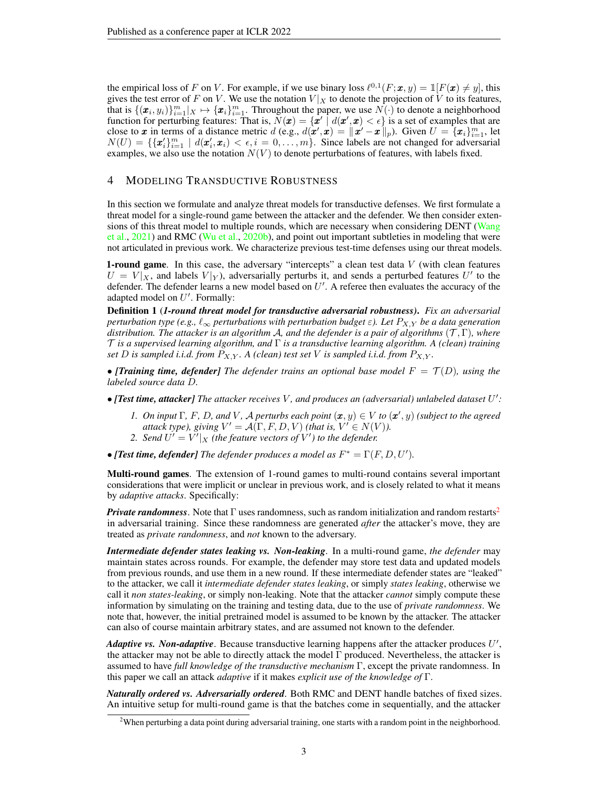the empirical loss of F on V. For example, if we use binary loss  $\ell^{0,1}(F; \mathbf{x}, y) = \mathbb{1}[F(\mathbf{x}) \neq y]$ , this gives the test error of F on V. We use the notation  $V|_X$  to denote the projection of V to its features, that is  $\{(\pmb{x}_i, y_i)\}_{i=1}^m | X \mapsto \{\pmb{x}_i\}_{i=1}^m$ . Throughout the paper, we use  $N(\cdot)$  to denote a neighborhood function for perturbing features: That is,  $N(x) = \{x' \mid d(x', x) < \epsilon\}$  is a set of examples that are close to x in terms of a distance metric  $d$  (e.g.,  $d(\mathbf{x}', \mathbf{x}) = ||\mathbf{x}' - \mathbf{x}'||_p$ ). Given  $U = \{x_i\}_{i=1}^m$ , let  $N(U) = \{\{\pmb{x}_i^{\prime}\}_{i=1}^m \mid d(\pmb{x}_i^{\prime}, \pmb{x}_i) < \epsilon, i = 0, \ldots, m\}$ . Since labels are not changed for adversarial examples, we also use the notation  $N(V)$  to denote perturbations of features, with labels fixed.

# 4 MODELING TRANSDUCTIVE ROBUSTNESS

In this section we formulate and analyze threat models for transductive defenses. We first formulate a threat model for a single-round game between the attacker and the defender. We then consider exten-sions of this threat model to multiple rounds, which are necessary when considering DENT [\(Wang](#page-11-4) [et al.,](#page-11-4) [2021\)](#page-11-4) and RMC [\(Wu et al.,](#page-11-3) [2020b\)](#page-11-3), and point out important subtleties in modeling that were not articulated in previous work. We characterize previous test-time defenses using our threat models.

**1-round game.** In this case, the adversary "intercepts" a clean test data  $V$  (with clean features  $U = V|_X$ , and labels  $V|_Y$ ), adversarially perturbs it, and sends a perturbed features U' to the defender. The defender learns a new model based on  $U'$ . A referee then evaluates the accuracy of the adapted model on  $U'$ . Formally:

Definition 1 (*1-round threat model for transductive adversarial robustness)*. *Fix an adversarial perturbation type (e.g.,*  $\ell_{\infty}$  *perturbations with perturbation budget*  $\varepsilon$ ). Let  $P_{X,Y}$  *be a data generation distribution. The attacker is an algorithm* A*, and the defender is a pair of algorithms* (T , Γ)*, where* T *is a supervised learning algorithm, and* Γ *is a transductive learning algorithm. A (clean) training set* D *is sampled i.i.d. from*  $P_{X,Y}$ *.* A (clean) test set V is sampled i.i.d. from  $P_{X,Y}$ *.* 

• *[Training time, defender]* The defender trains an optional base model  $F = \mathcal{T}(D)$ , using the *labeled source data* D*.*

- *[Test time, attacker] The attacker receives* V *, and produces an (adversarial) unlabeled dataset* U 0 *:*
	- *1. On input*  $\Gamma$ *, F, D<sub></sub>, and V, A perturbs each point*  $(\mathbf{x}, y) \in V$  *to*  $(\mathbf{x}', y)$  *(subject to the agreed attack type), giving*  $V' = \mathcal{A}(\Gamma, F, D, V)$  *(that is,*  $V' \in N(V)$ *).*
	- 2. Send  $U' = V'|_X$  (the feature vectors of  $V'$ ) to the defender.
- [Test time, defender] The defender produces a model as  $F^* = \Gamma(F, D, U')$ .

Multi-round games. The extension of 1-round games to multi-round contains several important considerations that were implicit or unclear in previous work, and is closely related to what it means by *adaptive attacks*. Specifically:

*Private randomness*. Note that  $\Gamma$  uses randomness, such as random initialization and random restarts<sup>[2](#page-2-0)</sup> in adversarial training. Since these randomness are generated *after* the attacker's move, they are treated as *private randomness*, and *not* known to the adversary.

*Intermediate defender states leaking vs. Non-leaking*. In a multi-round game, *the defender* may maintain states across rounds. For example, the defender may store test data and updated models from previous rounds, and use them in a new round. If these intermediate defender states are "leaked" to the attacker, we call it *intermediate defender states leaking*, or simply *states leaking*, otherwise we call it *non states-leaking*, or simply non-leaking. Note that the attacker *cannot* simply compute these information by simulating on the training and testing data, due to the use of *private randomness*. We note that, however, the initial pretrained model is assumed to be known by the attacker. The attacker can also of course maintain arbitrary states, and are assumed not known to the defender.

Adaptive vs. Non-adaptive. Because transductive learning happens after the attacker produces U', the attacker may not be able to directly attack the model Γ produced. Nevertheless, the attacker is assumed to have *full knowledge of the transductive mechanism* Γ, except the private randomness. In this paper we call an attack *adaptive* if it makes *explicit use of the knowledge of* Γ.

*Naturally ordered vs. Adversarially ordered*. Both RMC and DENT handle batches of fixed sizes. An intuitive setup for multi-round game is that the batches come in sequentially, and the attacker

<span id="page-2-0"></span><sup>&</sup>lt;sup>2</sup>When perturbing a data point during adversarial training, one starts with a random point in the neighborhood.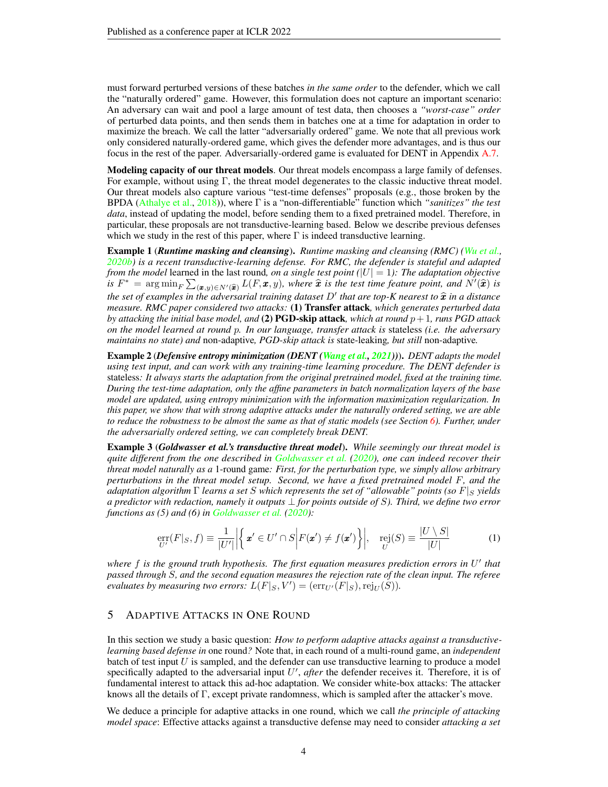must forward perturbed versions of these batches *in the same order* to the defender, which we call the "naturally ordered" game. However, this formulation does not capture an important scenario: An adversary can wait and pool a large amount of test data, then chooses a *"worst-case" order* of perturbed data points, and then sends them in batches one at a time for adaptation in order to maximize the breach. We call the latter "adversarially ordered" game. We note that all previous work only considered naturally-ordered game, which gives the defender more advantages, and is thus our focus in the rest of the paper. Adversarially-ordered game is evaluated for DENT in Appendix [A.7.](#page-17-0)

Modeling capacity of our threat models. Our threat models encompass a large family of defenses. For example, without using  $\Gamma$ , the threat model degenerates to the classic inductive threat model. Our threat models also capture various "test-time defenses" proposals (e.g., those broken by the BPDA [\(Athalye et al.,](#page-9-2) [2018\)](#page-9-2)), where Γ is a "non-differentiable" function which *"sanitizes" the test data*, instead of updating the model, before sending them to a fixed pretrained model. Therefore, in particular, these proposals are not transductive-learning based. Below we describe previous defenses which we study in the rest of this paper, where  $\Gamma$  is indeed transductive learning.

Example 1 (*Runtime masking and cleansing*). *Runtime masking and cleansing (RMC) [\(Wu et al.,](#page-11-3) [2020b\)](#page-11-3) is a recent transductive-learning defense. For RMC, the defender is stateful and adapted from the model* learned in the last round, *on a single test point*  $(|U| = 1)$ *: The adaptation objective is*  $F^* = \arg \min_F \sum_{(\bm{x},y) \in N'(\widehat{\bm{x}})} L(F, \bm{x}, y)$ , where  $\widehat{\bm{x}}$  *is the test time feature point, and*  $N'(\widehat{\bm{x}})$  *is the set of examples in the adversarial training dataset D' that are top-K nearest to*  $\hat{x}$  *in a distance*<br>measure RMC paper considered two attacks: (1) **Transfer attack** which generates perturbed data *measure. RMC paper considered two attacks:* (1) Transfer attack*, which generates perturbed data by attacking the initial base model, and* (2) **PGD-skip attack***, which at round*  $p+1$ *, runs PGD attack on the model learned at round* p*. In our language, transfer attack is* stateless *(i.e. the adversary maintains no state) and* non-adaptive*, PGD-skip attack is* state-leaking*, but still* non-adaptive*.*

Example 2 (*Defensive entropy minimization (DENT [\(Wang et al.,](#page-11-4) [2021\)](#page-11-4))*). *DENT adapts the model using test input, and can work with any training-time learning procedure. The DENT defender is* stateless*: It always starts the adaptation from the original pretrained model, fixed at the training time. During the test-time adaptation, only the affine parameters in batch normalization layers of the base model are updated, using entropy minimization with the information maximization regularization. In this paper, we show that with strong adaptive attacks under the naturally ordered setting, we are able to reduce the robustness to be almost the same as that of static models (see Section [6\)](#page-6-0). Further, under the adversarially ordered setting, we can completely break DENT.*

Example 3 (*Goldwasser et al.'s transductive threat model*). *While seemingly our threat model is quite different from the one described in [Goldwasser et al.](#page-10-2) [\(2020\)](#page-10-2), one can indeed recover their threat model naturally as a* 1-round game*: First, for the perturbation type, we simply allow arbitrary perturbations in the threat model setup. Second, we have a fixed pretrained model* F*, and the adaptation algorithm*  $\Gamma$  *learns a set* S *which represents the set of "allowable" points (so*  $F|_S$  *yields a predictor with redaction, namely it outputs* ⊥ *for points outside of* S*). Third, we define two error functions as (5) and (6) in [Goldwasser et al.](#page-10-2) [\(2020\)](#page-10-2):*

$$
\underset{U'}{\text{err}}(F|_S, f) \equiv \frac{1}{|U'|} \Big| \Big\{ \mathbf{x}' \in U' \cap S \Big| F(\mathbf{x}') \neq f(\mathbf{x}') \Big\} \Big|, \quad \underset{U}{\text{rej}}(S) \equiv \frac{|U \setminus S|}{|U|} \tag{1}
$$

where f is the ground truth hypothesis. The first equation measures prediction errors in U<sup>t</sup> that *passed through* S*, and the second equation measures the rejection rate of the clean input. The referee evaluates by measuring two errors:*  $L(F|_S, V') = (\text{err}_{U'}(F|_S), \text{rej}_{U}(S)).$ 

### 5 ADAPTIVE ATTACKS IN ONE ROUND

In this section we study a basic question: *How to perform adaptive attacks against a transductivelearning based defense in* one round*?* Note that, in each round of a multi-round game, an *independent* batch of test input  $U$  is sampled, and the defender can use transductive learning to produce a model specifically adapted to the adversarial input  $U'$ , *after* the defender receives it. Therefore, it is of fundamental interest to attack this ad-hoc adaptation. We consider white-box attacks: The attacker knows all the details of Γ, except private randomness, which is sampled after the attacker's move.

We deduce a principle for adaptive attacks in one round, which we call *the principle of attacking model space*: Effective attacks against a transductive defense may need to consider *attacking a set*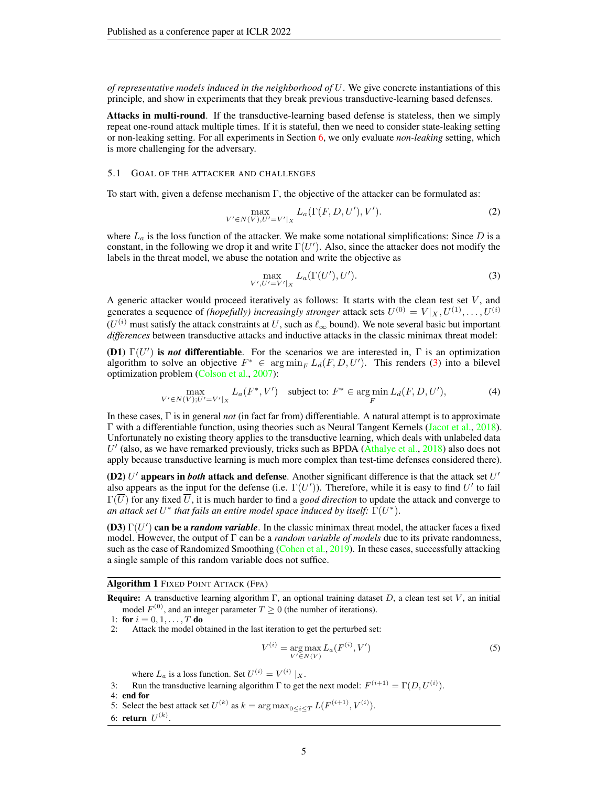*of representative models induced in the neighborhood of* U. We give concrete instantiations of this principle, and show in experiments that they break previous transductive-learning based defenses.

Attacks in multi-round. If the transductive-learning based defense is stateless, then we simply repeat one-round attack multiple times. If it is stateful, then we need to consider state-leaking setting or non-leaking setting. For all experiments in Section [6,](#page-6-0) we only evaluate *non-leaking* setting, which is more challenging for the adversary.

### 5.1 GOAL OF THE ATTACKER AND CHALLENGES

To start with, given a defense mechanism  $\Gamma$ , the objective of the attacker can be formulated as:

$$
\max_{V' \in N(V), U' = V'|_X} L_a(\Gamma(F, D, U'), V').
$$
 (2)

where  $L_a$  is the loss function of the attacker. We make some notational simplifications: Since  $D$  is a constant, in the following we drop it and write  $\Gamma(U')$ . Also, since the attacker does not modify the labels in the threat model, we abuse the notation and write the objective as

<span id="page-4-1"></span><span id="page-4-0"></span>
$$
\max_{V',U'=V'|_X} L_a(\Gamma(U'),U'). \tag{3}
$$

A generic attacker would proceed iteratively as follows: It starts with the clean test set  $V$ , and generates a sequence of *(hopefully)* increasingly stronger attack sets  $U^{(0)} = V|_X, U^{(1)}, \ldots, U^{(i)}$  $(U^{(i)}$  must satisfy the attack constraints at U, such as  $\ell_{\infty}$  bound). We note several basic but important *differences* between transductive attacks and inductive attacks in the classic minimax threat model:

**(D1)**  $\Gamma(U')$  is *not* differentiable. For the scenarios we are interested in,  $\Gamma$  is an optimization algorithm to solve an objective  $F^* \in \arg \min_F L_d(F, D, U')$ . This renders [\(3\)](#page-4-1) into a bilevel optimization problem [\(Colson et al.,](#page-9-3) [2007\)](#page-9-3):

$$
\max_{V' \in N(V); U'=V'|_X} L_a(F^*, V') \quad \text{subject to: } F^* \in \arg\min_{F} L_d(F, D, U'), \tag{4}
$$

In these cases, Γ is in general *not* (in fact far from) differentiable. A natural attempt is to approximate Γ with a differentiable function, using theories such as Neural Tangent Kernels [\(Jacot et al.,](#page-10-6) [2018\)](#page-10-6). Unfortunately no existing theory applies to the transductive learning, which deals with unlabeled data  $U'$  (also, as we have remarked previously, tricks such as BPDA [\(Athalye et al.,](#page-9-2) [2018\)](#page-9-2) also does not apply because transductive learning is much more complex than test-time defenses considered there).

(D2)  $U'$  appears in *both* attack and defense. Another significant difference is that the attack set  $U'$ also appears as the input for the defense (i.e.  $\Gamma(U')$ ). Therefore, while it is easy to find  $U'$  to fail  $\Gamma(U)$  for any fixed U, it is much harder to find a *good direction* to update the attack and converge to an attack set  $U^*$  that fails an entire model space induced by itself:  $\Gamma(U^*)$ .

**(D3)**  $\Gamma(U')$  can be a *random variable*. In the classic minimax threat model, the attacker faces a fixed model. However, the output of Γ can be a *random variable of models* due to its private randomness, such as the case of Randomized Smoothing [\(Cohen et al.,](#page-9-7) [2019\)](#page-9-7). In these cases, successfully attacking a single sample of this random variable does not suffice.

### Algorithm 1 FIXED POINT ATTACK (FPA)

**Require:** A transductive learning algorithm  $\Gamma$ , an optional training dataset D, a clean test set V, an initial model  $F^{(0)}$ , and an integer parameter  $T \ge 0$  (the number of iterations).

1: for  $i = 0, 1, ..., T$  do

2: Attack the model obtained in the last iteration to get the perturbed set:

<span id="page-4-2"></span>
$$
V^{(i)} = \underset{V' \in N(V)}{\text{arg max}} L_a(F^{(i)}, V') \tag{5}
$$

where  $L_a$  is a loss function. Set  $U^{(i)} = V^{(i)} |_{X}$ .

3: Run the transductive learning algorithm  $\Gamma$  to get the next model:  $F^{(i+1)} = \Gamma(D, U^{(i)})$ .

4: end for

5: Select the best attack set  $U^{(k)}$  as  $k = \arg \max_{0 \le i \le T} L(F^{(i+1)}, V^{(i)})$ .

6: **return**  $U^{(k)}$ .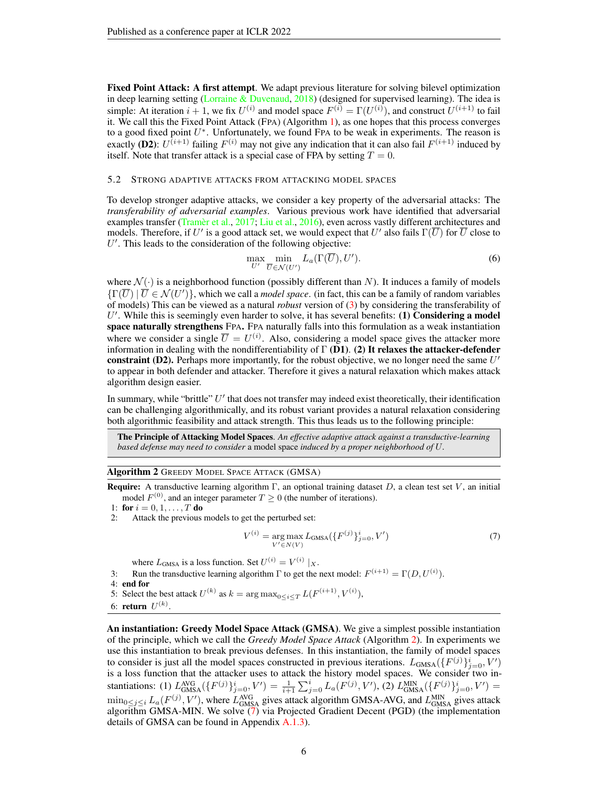Fixed Point Attack: A first attempt. We adapt previous literature for solving bilevel optimization in deep learning setting [\(Lorraine & Duvenaud,](#page-10-7)  $2018$ ) (designed for supervised learning). The idea is simple: At iteration  $i + 1$ , we fix  $U^{(i)}$  and model space  $F^{(i)} = \Gamma(U^{(i)})$ , and construct  $U^{(i+1)}$  to fail it. We call this the Fixed Point Attack (FPA) (Algorithm [1\)](#page-4-2), as one hopes that this process converges to a good fixed point  $U^*$ . Unfortunately, we found FPA to be weak in experiments. The reason is exactly (D2):  $U^{(i+1)}$  failing  $F^{(i)}$  may not give any indication that it can also fail  $F^{(i+1)}$  induced by itself. Note that transfer attack is a special case of FPA by setting  $T = 0$ .

#### 5.2 STRONG ADAPTIVE ATTACKS FROM ATTACKING MODEL SPACES

To develop stronger adaptive attacks, we consider a key property of the adversarial attacks: The *transferability of adversarial examples*. Various previous work have identified that adversarial examples transfer [\(Tramèr et al.,](#page-11-8) [2017;](#page-11-8) [Liu et al.,](#page-10-8) [2016\)](#page-10-8), even across vastly different architectures and models. Therefore, if  $U'$  is a good attack set, we would expect that  $U'$  also fails  $\Gamma(\overline{U})$  for  $\overline{U}$  close to  $U'$ . This leads to the consideration of the following objective:

<span id="page-5-0"></span>
$$
\max_{U'} \min_{\overline{U} \in \mathcal{N}(U')} L_a(\Gamma(\overline{U}), U'). \tag{6}
$$

where  $\mathcal{N}(\cdot)$  is a neighborhood function (possibly different than N). It induces a family of models  $\{\Gamma(\overline{U}) \mid \overline{U} \in \mathcal{N}(U')\}$ , which we call a *model space*. (in fact, this can be a family of random variables of models) This can be viewed as a natural *robust* version of [\(3\)](#page-4-1) by considering the transferability of  $U'$ . While this is seemingly even harder to solve, it has several benefits: (1) Considering a model space naturally strengthens FPA. FPA naturally falls into this formulation as a weak instantiation where we consider a single  $\overline{U} = U^{(i)}$ . Also, considering a model space gives the attacker more information in dealing with the nondifferentiability of  $\Gamma$  (D1). (2) It relaxes the attacker-defender constraint (D2). Perhaps more importantly, for the robust objective, we no longer need the same  $U'$ to appear in both defender and attacker. Therefore it gives a natural relaxation which makes attack algorithm design easier.

In summary, while "brittle"  $U'$  that does not transfer may indeed exist theoretically, their identification can be challenging algorithmically, and its robust variant provides a natural relaxation considering both algorithmic feasibility and attack strength. This thus leads us to the following principle:

The Principle of Attacking Model Spaces. *An effective adaptive attack against a transductive-learning based defense may need to consider* a model space *induced by a proper neighborhood of* U*.*

#### Algorithm 2 GREEDY MODEL SPACE ATTACK (GMSA)

**Require:** A transductive learning algorithm Γ, an optional training dataset D, a clean test set V, an initial model  $F^{(0)}$ , and an integer parameter  $T \ge 0$  (the number of iterations).

1: **for**  $i = 0, 1, ..., T$  **do**<br>2. Attack the previous

Attack the previous models to get the perturbed set:

<span id="page-5-2"></span><span id="page-5-1"></span>
$$
V^{(i)} = \underset{V' \in N(V)}{\text{arg max}} L_{\text{GMSA}}(\{F^{(j)}\}_{j=0}^i, V') \tag{7}
$$

where  $L_{\text{GMSA}}$  is a loss function. Set  $U^{(i)} = V^{(i)} |_{X}$ .

3: Run the transductive learning algorithm  $\Gamma$  to get the next model:  $F^{(i+1)} = \Gamma(D, U^{(i)})$ . 4: end for 5: Select the best attack  $U^{(k)}$  as  $k = \arg \max_{0 \le i \le T} L(F^{(i+1)}, V^{(i)}),$ 

6: **return**  $U^{(k)}$ .

An instantiation: Greedy Model Space Attack (GMSA). We give a simplest possible instantiation of the principle, which we call the *Greedy Model Space Attack* (Algorithm [2\)](#page-5-1). In experiments we use this instantiation to break previous defenses. In this instantiation, the family of model spaces to consider is just all the model spaces constructed in previous iterations.  $L_{\text{GMSA}}(\lbrace F^{(j)} \rbrace_{j=0}^i, V')$ is a loss function that the attacker uses to attack the history model spaces. We consider two instantiations: (1)  $L_{\text{GMSA}}^{\text{AVG}}(\lbrace F^{(j)} \rbrace_{j=0}^{i}, V') = \frac{1}{i+1} \sum_{j=0}^{i} L_a(F^{(j)}, V')$ , (2)  $L_{\text{GMSA}}^{\text{MIN}}(\lbrace F^{(j)} \rbrace_{j=0}^{i}, V') =$  $\min_{0 \le j \le i} L_a(F^{(j)}, V')$ , where  $L_{\text{GMSA}}^{\text{AVG}}$  gives attack algorithm GMSA-AVG, and  $L_{\text{GMSA}}^{\text{MIN}}$  gives attack algorithm GMSA-MIN. We solve [\(7\)](#page-5-2) via Projected Gradient Decent (PGD) (the implementation details of GMSA can be found in Appendix [A.1.3\)](#page-12-0).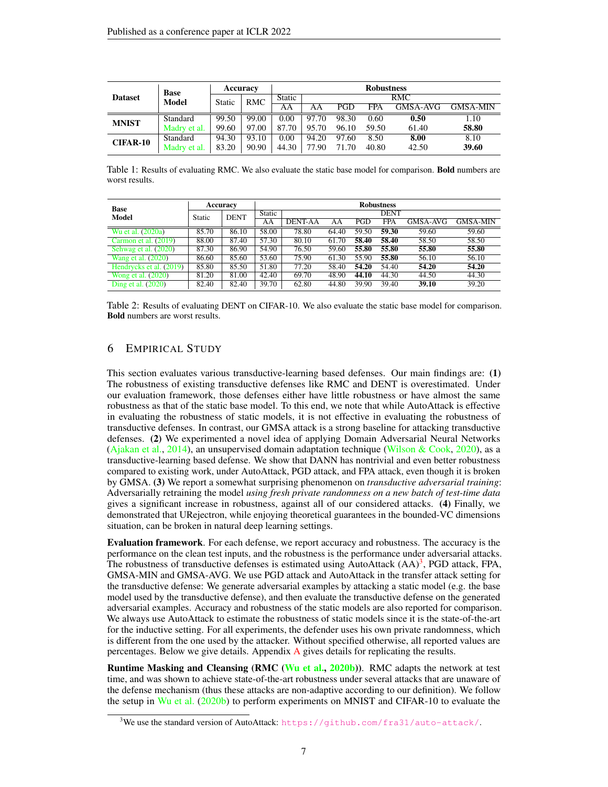<span id="page-6-2"></span>

|                 | <b>Base</b>  | <b>Accuracy</b> |            | <b>Robustness</b><br>RMC |       |       |            |          |                 |  |
|-----------------|--------------|-----------------|------------|--------------------------|-------|-------|------------|----------|-----------------|--|
| <b>Dataset</b>  | <b>Model</b> | Static          | <b>RMC</b> | <b>Static</b>            |       |       |            |          |                 |  |
|                 |              |                 |            | AΑ                       | AΑ    | PGD   | <b>FPA</b> | GMSA-AVG | <b>GMSA-MIN</b> |  |
| <b>MNIST</b>    | Standard     | 99.50           | 99.00      | 0.00                     | 97.70 | 98.30 | 0.60       | 0.50     | 1.10            |  |
|                 | Madry et al. | 99.60           | 97.00      | 87.70                    | 95.70 | 96.10 | 59.50      | 61.40    | 58.80           |  |
| <b>CIFAR-10</b> | Standard     | 94.30           | 93.10      | 0.00                     | 94.20 | 97.60 | 8.50       | 8.00     | 8.10            |  |
|                 | Madry et al. | 83.20           | 90.90      | 44.30                    | 77.90 | 71.70 | 40.80      | 42.50    | 39.60           |  |

Table 1: Results of evaluating RMC. We also evaluate the static base model for comparison. Bold numbers are worst results.

<span id="page-6-3"></span>

| <b>Base</b>             |               | Accuracy    | <b>Robustness</b> |                |       |       |             |          |                 |  |
|-------------------------|---------------|-------------|-------------------|----------------|-------|-------|-------------|----------|-----------------|--|
| Model                   | <b>Static</b> | <b>DENT</b> | <b>Static</b>     |                |       |       | <b>DENT</b> |          |                 |  |
|                         |               |             | AA                | <b>DENT-AA</b> | ΑA    | PGD   | <b>FPA</b>  | GMSA-AVG | <b>GMSA-MIN</b> |  |
| Wu et al. $(2020a)$     | 85.70         | 86.10       | 58.00             | 78.80          | 64.40 | 59.50 | 59.30       | 59.60    | 59.60           |  |
| Carmon et al. $(2019)$  | 88.00         | 87.40       | 57.30             | 80.10          | 61.70 | 58.40 | 58.40       | 58.50    | 58.50           |  |
| Sehwag et al. (2020)    | 87.30         | 86.90       | 54.90             | 76.50          | 59.60 | 55.80 | 55.80       | 55.80    | 55.80           |  |
| Wang et al. (2020)      | 86.60         | 85.60       | 53.60             | 75.90          | 61.30 | 55.90 | 55.80       | 56.10    | 56.10           |  |
| Hendrycks et al. (2019) | 85.80         | 85.50       | 51.80             | 77.20          | 58.40 | 54.20 | 54.40       | 54.20    | 54.20           |  |
| Wong et al. (2020)      | 81.20         | 81.00       | 42.40             | 69.70          | 48.90 | 44.10 | 44.30       | 44.50    | 44.30           |  |
| Ding et al. $(2020)$    | 82.40         | 82.40       | 39.70             | 62.80          | 44.80 | 39.90 | 39.40       | 39.10    | 39.20           |  |

Table 2: Results of evaluating DENT on CIFAR-10. We also evaluate the static base model for comparison. Bold numbers are worst results.

### <span id="page-6-0"></span>6 EMPIRICAL STUDY

This section evaluates various transductive-learning based defenses. Our main findings are: (1) The robustness of existing transductive defenses like RMC and DENT is overestimated. Under our evaluation framework, those defenses either have little robustness or have almost the same robustness as that of the static base model. To this end, we note that while AutoAttack is effective in evaluating the robustness of static models, it is not effective in evaluating the robustness of transductive defenses. In contrast, our GMSA attack is a strong baseline for attacking transductive defenses. (2) We experimented a novel idea of applying Domain Adversarial Neural Networks [\(Ajakan et al.,](#page-9-8) [2014\)](#page-9-8), an unsupervised domain adaptation technique [\(Wilson & Cook,](#page-11-13) [2020\)](#page-11-13), as a transductive-learning based defense. We show that DANN has nontrivial and even better robustness compared to existing work, under AutoAttack, PGD attack, and FPA attack, even though it is broken by GMSA. (3) We report a somewhat surprising phenomenon on *transductive adversarial training*: Adversarially retraining the model *using fresh private randomness on a new batch of test-time data* gives a significant increase in robustness, against all of our considered attacks. (4) Finally, we demonstrated that URejectron, while enjoying theoretical guarantees in the bounded-VC dimensions situation, can be broken in natural deep learning settings.

Evaluation framework. For each defense, we report accuracy and robustness. The accuracy is the performance on the clean test inputs, and the robustness is the performance under adversarial attacks. The robustness of transductive defenses is estimated using AutoAttack  $(AA)^3$  $(AA)^3$ , PGD attack, FPA, GMSA-MIN and GMSA-AVG. We use PGD attack and AutoAttack in the transfer attack setting for the transductive defense: We generate adversarial examples by attacking a static model (e.g. the base model used by the transductive defense), and then evaluate the transductive defense on the generated adversarial examples. Accuracy and robustness of the static models are also reported for comparison. We always use AutoAttack to estimate the robustness of static models since it is the state-of-the-art for the inductive setting. For all experiments, the defender uses his own private randomness, which is different from the one used by the attacker. Without specified otherwise, all reported values are percentages. Below we give details. Appendix [A](#page-12-1) gives details for replicating the results.

Runtime Masking and Cleansing (RMC [\(Wu et al.,](#page-11-3) [2020b\)](#page-11-3)). RMC adapts the network at test time, and was shown to achieve state-of-the-art robustness under several attacks that are unaware of the defense mechanism (thus these attacks are non-adaptive according to our definition). We follow the setup in [Wu et al.](#page-11-3) [\(2020b\)](#page-11-3) to perform experiments on MNIST and CIFAR-10 to evaluate the

<span id="page-6-1"></span><sup>&</sup>lt;sup>3</sup>We use the standard version of AutoAttack: <https://github.com/fra31/auto-attack/>.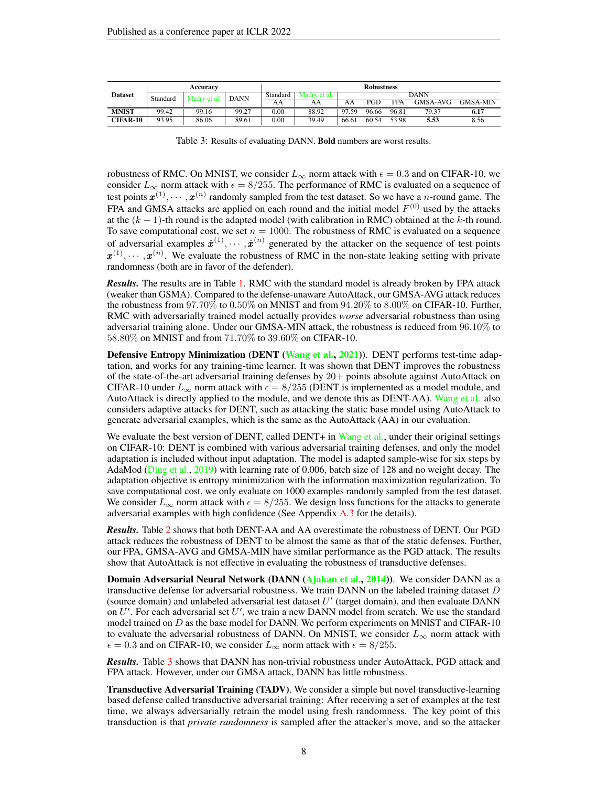<span id="page-7-0"></span>

| <b>Dataset</b>  | Accuracy |              |             | <b>Robustness</b> |              |       |       |       |          |                 |  |
|-----------------|----------|--------------|-------------|-------------------|--------------|-------|-------|-------|----------|-----------------|--|
|                 | Standard | Madry et al. | <b>DANN</b> | Standard          | Madry et al. |       | DANN  |       |          |                 |  |
|                 |          |              |             | ΑA                | ΑА           | AΑ    | PGD   | FPA   | GMSA-AVG | <b>GMSA-MIN</b> |  |
| <b>MNIST</b>    | 99.42    | 99.16        | 99.27       | 0.00              | 88.92        | 97.59 | 96.66 | 96.81 | 79.37    | 6.17            |  |
| <b>CIFAR-10</b> | 93.95    | 86.06        | 89.61       | 0.00              | 39.49        | 66.61 | 60.54 | 53.98 | 5.53     | 8.56            |  |

Table 3: Results of evaluating DANN. Bold numbers are worst results.

robustness of RMC. On MNIST, we consider  $L_{\infty}$  norm attack with  $\epsilon = 0.3$  and on CIFAR-10, we consider  $L_{\infty}$  norm attack with  $\epsilon = 8/255$ . The performance of RMC is evaluated on a sequence of test points  $\mathbf{x}^{(1)}, \cdots, \mathbf{x}^{(n)}$  randomly sampled from the test dataset. So we have a *n*-round game. The FPA and GMSA attacks are applied on each round and the initial model  $F^{(0)}$  used by the attacks at the  $(k + 1)$ -th round is the adapted model (with calibration in RMC) obtained at the k-th round. To save computational cost, we set  $n = 1000$ . The robustness of RMC is evaluated on a sequence of adversarial examples  $\hat{x}^{(1)}, \cdots, \hat{x}^{(n)}$  generated by the attacker on the sequence of test points  $\mathbf{x}^{(1)}, \cdots, \mathbf{x}^{(n)}$ . We evaluate the robustness of RMC in the non-state leaking setting with private randomness (both are in favor of the defender).

*Results.* The results are in Table [1.](#page-6-2) RMC with the standard model is already broken by FPA attack (weaker than GSMA). Compared to the defense-unaware AutoAttack, our GMSA-AVG attack reduces the robustness from 97.70% to 0.50% on MNIST and from 94.20% to 8.00% on CIFAR-10. Further, RMC with adversarially trained model actually provides *worse* adversarial robustness than using adversarial training alone. Under our GMSA-MIN attack, the robustness is reduced from 96.10% to 58.80% on MNIST and from 71.70% to 39.60% on CIFAR-10.

Defensive Entropy Minimization (DENT [\(Wang et al.,](#page-11-4) [2021\)](#page-11-4)). DENT performs test-time adaptation, and works for any training-time learner. It was shown that DENT improves the robustness of the state-of-the-art adversarial training defenses by 20+ points absolute against AutoAttack on CIFAR-10 under  $L_{\infty}$  norm attack with  $\epsilon = 8/255$  (DENT is implemented as a model module, and AutoAttack is directly applied to the module, and we denote this as DENT-AA). [Wang et al.](#page-11-4) also considers adaptive attacks for DENT, such as attacking the static base model using AutoAttack to generate adversarial examples, which is the same as the AutoAttack (AA) in our evaluation.

We evaluate the best version of DENT, called DENT+ in [Wang et al.,](#page-11-4) under their original settings on CIFAR-10: DENT is combined with various adversarial training defenses, and only the model adaptation is included without input adaptation. The model is adapted sample-wise for six steps by AdaMod [\(Ding et al.,](#page-10-11) [2019\)](#page-10-11) with learning rate of 0.006, batch size of 128 and no weight decay. The adaptation objective is entropy minimization with the information maximization regularization. To save computational cost, we only evaluate on 1000 examples randomly sampled from the test dataset. We consider  $L_{\infty}$  norm attack with  $\epsilon = 8/255$ . We design loss functions for the attacks to generate adversarial examples with high confidence (See Appendix  $A.3$  for the details).

*Results.* Table [2](#page-6-3) shows that both DENT-AA and AA overestimate the robustness of DENT. Our PGD attack reduces the robustness of DENT to be almost the same as that of the static defenses. Further, our FPA, GMSA-AVG and GMSA-MIN have similar performance as the PGD attack. The results show that AutoAttack is not effective in evaluating the robustness of transductive defenses.

Domain Adversarial Neural Network (DANN [\(Ajakan et al.,](#page-9-8) [2014\)](#page-9-8)). We consider DANN as a transductive defense for adversarial robustness. We train DANN on the labeled training dataset  $D$ (source domain) and unlabeled adversarial test dataset  $U'$  (target domain), and then evaluate DANN on  $U'$ . For each adversarial set  $U'$ , we train a new DANN model from scratch. We use the standard model trained on D as the base model for DANN. We perform experiments on MNIST and CIFAR-10 to evaluate the adversarial robustness of DANN. On MNIST, we consider  $L_{\infty}$  norm attack with  $\epsilon = 0.3$  and on CIFAR-10, we consider  $L_{\infty}$  norm attack with  $\epsilon = 8/255$ .

*Results.* Table [3](#page-7-0) shows that DANN has non-trivial robustness under AutoAttack, PGD attack and FPA attack. However, under our GMSA attack, DANN has little robustness.

Transductive Adversarial Training (TADV). We consider a simple but novel transductive-learning based defense called transductive adversarial training: After receiving a set of examples at the test time, we always adversarially retrain the model using fresh randomness. The key point of this transduction is that *private randomness* is sampled after the attacker's move, and so the attacker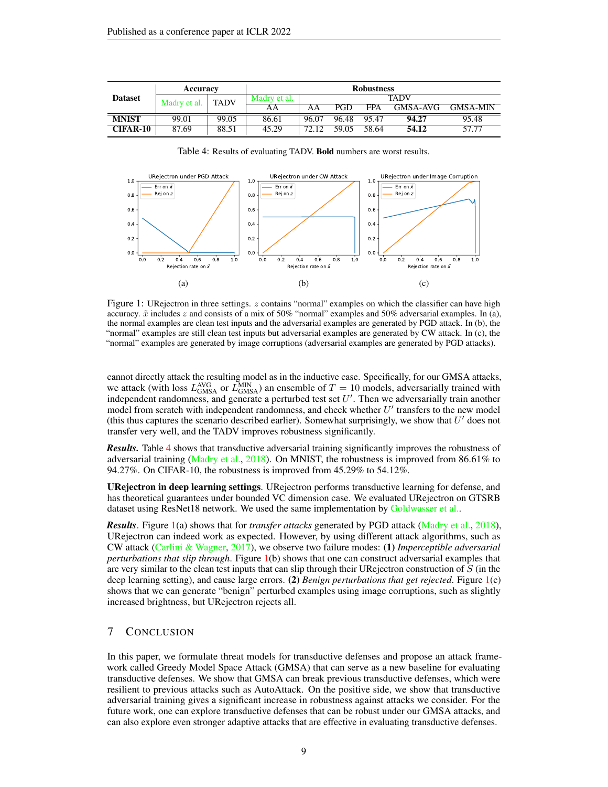<span id="page-8-0"></span>

|                 | Accuracy     |             | <b>Robustness</b> |       |             |            |          |                 |  |  |
|-----------------|--------------|-------------|-------------------|-------|-------------|------------|----------|-----------------|--|--|
| <b>Dataset</b>  | Madry et al. | <b>TADV</b> | Madry et al.      |       | <b>TADV</b> |            |          |                 |  |  |
|                 |              |             | AΑ                | AA    | PGD         | <b>FPA</b> | GMSA-AVG | <b>GMSA-MIN</b> |  |  |
| <b>MNIST</b>    | 99.01        | 99.05       | 86.61             | 96.07 | 96.48       | 95.47      | 94.27    | 95.48           |  |  |
| <b>CIFAR-10</b> | 87.69        | 88.51       | 45.29             | 72.12 | 59.05       | 58.64      | 54.12    | 57.77           |  |  |

<span id="page-8-1"></span>

#### Table 4: Results of evaluating TADV. Bold numbers are worst results.

Figure 1: URejectron in three settings.  $z$  contains "normal" examples on which the classifier can have high accuracy.  $\tilde{x}$  includes z and consists of a mix of 50% "normal" examples and 50% adversarial examples. In (a), the normal examples are clean test inputs and the adversarial examples are generated by PGD attack. In (b), the "normal" examples are still clean test inputs but adversarial examples are generated by CW attack. In (c), the "normal" examples are generated by image corruptions (adversarial examples are generated by PGD attacks).

cannot directly attack the resulting model as in the inductive case. Specifically, for our GMSA attacks, we attack (with loss  $L_{\text{GMSA}}^{\text{AVG}}$  or  $L_{\text{GMSA}}^{\text{MIN}}$ ) an ensemble of  $T = 10$  models, adversarially trained with independent randomness, and generate a perturbed test set  $U'$ . Then we adversarially train another model from scratch with independent randomness, and check whether  $U'$  transfers to the new model (this thus captures the scenario described earlier). Somewhat surprisingly, we show that  $U'$  does not transfer very well, and the TADV improves robustness significantly.

*Results.* Table [4](#page-8-0) shows that transductive adversarial training significantly improves the robustness of adversarial training [\(Madry et al.,](#page-10-1) [2018\)](#page-10-1). On MNIST, the robustness is improved from 86.61% to 94.27%. On CIFAR-10, the robustness is improved from 45.29% to 54.12%.

URejectron in deep learning settings. URejectron performs transductive learning for defense, and has theoretical guarantees under bounded VC dimension case. We evaluated URejectron on GTSRB dataset using ResNet18 network. We used the same implementation by [Goldwasser et al..](#page-10-2)

*Results*. Figure [1\(](#page-8-1)a) shows that for *transfer attacks* generated by PGD attack [\(Madry et al.,](#page-10-1) [2018\)](#page-10-1), URejectron can indeed work as expected. However, by using different attack algorithms, such as CW attack [\(Carlini & Wagner,](#page-9-5) [2017\)](#page-9-5), we observe two failure modes: (1) *Imperceptible adversarial perturbations that slip through*. Figure [1\(](#page-8-1)b) shows that one can construct adversarial examples that are very similar to the clean test inputs that can slip through their UR ejectron construction of  $S$  (in the deep learning setting), and cause large errors. (2) *Benign perturbations that get rejected*. Figure [1\(](#page-8-1)c) shows that we can generate "benign" perturbed examples using image corruptions, such as slightly increased brightness, but URejectron rejects all.

## 7 CONCLUSION

In this paper, we formulate threat models for transductive defenses and propose an attack framework called Greedy Model Space Attack (GMSA) that can serve as a new baseline for evaluating transductive defenses. We show that GMSA can break previous transductive defenses, which were resilient to previous attacks such as AutoAttack. On the positive side, we show that transductive adversarial training gives a significant increase in robustness against attacks we consider. For the future work, one can explore transductive defenses that can be robust under our GMSA attacks, and can also explore even stronger adaptive attacks that are effective in evaluating transductive defenses.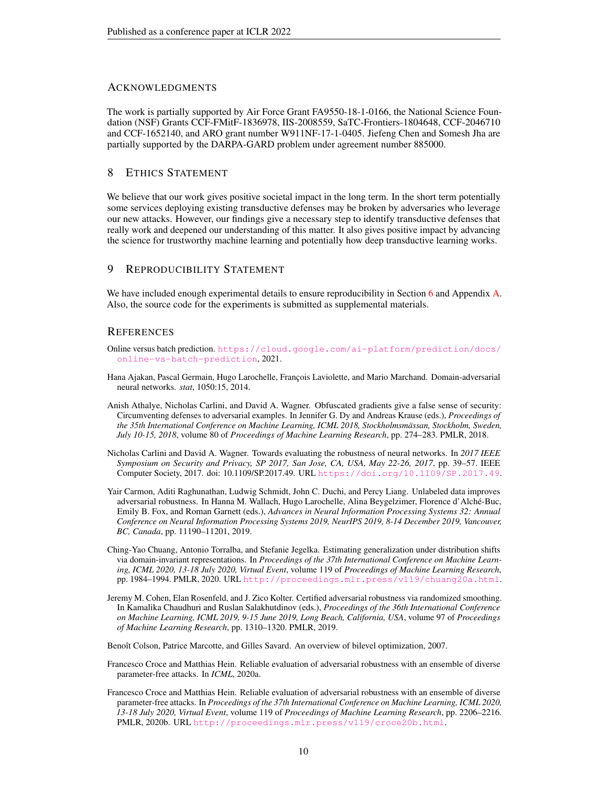## **ACKNOWLEDGMENTS**

The work is partially supported by Air Force Grant FA9550-18-1-0166, the National Science Foundation (NSF) Grants CCF-FMitF-1836978, IIS-2008559, SaTC-Frontiers-1804648, CCF-2046710 and CCF-1652140, and ARO grant number W911NF-17-1-0405. Jiefeng Chen and Somesh Jha are partially supported by the DARPA-GARD problem under agreement number 885000.

# 8 ETHICS STATEMENT

We believe that our work gives positive societal impact in the long term. In the short term potentially some services deploying existing transductive defenses may be broken by adversaries who leverage our new attacks. However, our findings give a necessary step to identify transductive defenses that really work and deepened our understanding of this matter. It also gives positive impact by advancing the science for trustworthy machine learning and potentially how deep transductive learning works.

# 9 REPRODUCIBILITY STATEMENT

We have included enough experimental details to ensure reproducibility in Section [6](#page-6-0) and Appendix [A.](#page-12-1) Also, the source code for the experiments is submitted as supplemental materials.

# **REFERENCES**

- <span id="page-9-1"></span>Online versus batch prediction. [https://cloud.google.com/ai-platform/prediction/docs/](https://cloud.google.com/ai-platform/prediction/docs/online-vs-batch-prediction) [online-vs-batch-prediction](https://cloud.google.com/ai-platform/prediction/docs/online-vs-batch-prediction), 2021.
- <span id="page-9-8"></span>Hana Ajakan, Pascal Germain, Hugo Larochelle, François Laviolette, and Mario Marchand. Domain-adversarial neural networks. *stat*, 1050:15, 2014.
- <span id="page-9-2"></span>Anish Athalye, Nicholas Carlini, and David A. Wagner. Obfuscated gradients give a false sense of security: Circumventing defenses to adversarial examples. In Jennifer G. Dy and Andreas Krause (eds.), *Proceedings of the 35th International Conference on Machine Learning, ICML 2018, Stockholmsmässan, Stockholm, Sweden, July 10-15, 2018*, volume 80 of *Proceedings of Machine Learning Research*, pp. 274–283. PMLR, 2018.
- <span id="page-9-5"></span>Nicholas Carlini and David A. Wagner. Towards evaluating the robustness of neural networks. In *2017 IEEE Symposium on Security and Privacy, SP 2017, San Jose, CA, USA, May 22-26, 2017*, pp. 39–57. IEEE Computer Society, 2017. doi: 10.1109/SP.2017.49. URL <https://doi.org/10.1109/SP.2017.49>.
- <span id="page-9-0"></span>Yair Carmon, Aditi Raghunathan, Ludwig Schmidt, John C. Duchi, and Percy Liang. Unlabeled data improves adversarial robustness. In Hanna M. Wallach, Hugo Larochelle, Alina Beygelzimer, Florence d'Alché-Buc, Emily B. Fox, and Roman Garnett (eds.), *Advances in Neural Information Processing Systems 32: Annual Conference on Neural Information Processing Systems 2019, NeurIPS 2019, 8-14 December 2019, Vancouver, BC, Canada*, pp. 11190–11201, 2019.
- <span id="page-9-9"></span>Ching-Yao Chuang, Antonio Torralba, and Stefanie Jegelka. Estimating generalization under distribution shifts via domain-invariant representations. In *Proceedings of the 37th International Conference on Machine Learning, ICML 2020, 13-18 July 2020, Virtual Event*, volume 119 of *Proceedings of Machine Learning Research*, pp. 1984–1994. PMLR, 2020. URL <http://proceedings.mlr.press/v119/chuang20a.html>.
- <span id="page-9-7"></span>Jeremy M. Cohen, Elan Rosenfeld, and J. Zico Kolter. Certified adversarial robustness via randomized smoothing. In Kamalika Chaudhuri and Ruslan Salakhutdinov (eds.), *Proceedings of the 36th International Conference on Machine Learning, ICML 2019, 9-15 June 2019, Long Beach, California, USA*, volume 97 of *Proceedings of Machine Learning Research*, pp. 1310–1320. PMLR, 2019.

<span id="page-9-3"></span>Benoît Colson, Patrice Marcotte, and Gilles Savard. An overview of bilevel optimization, 2007.

- <span id="page-9-4"></span>Francesco Croce and Matthias Hein. Reliable evaluation of adversarial robustness with an ensemble of diverse parameter-free attacks. In *ICML*, 2020a.
- <span id="page-9-6"></span>Francesco Croce and Matthias Hein. Reliable evaluation of adversarial robustness with an ensemble of diverse parameter-free attacks. In *Proceedings of the 37th International Conference on Machine Learning, ICML 2020, 13-18 July 2020, Virtual Event*, volume 119 of *Proceedings of Machine Learning Research*, pp. 2206–2216. PMLR, 2020b. URL <http://proceedings.mlr.press/v119/croce20b.html>.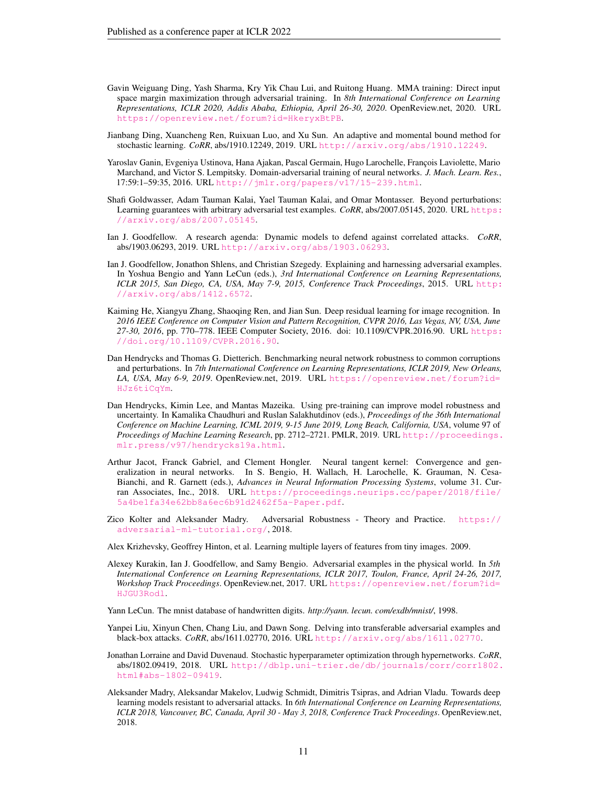- <span id="page-10-10"></span>Gavin Weiguang Ding, Yash Sharma, Kry Yik Chau Lui, and Ruitong Huang. MMA training: Direct input space margin maximization through adversarial training. In *8th International Conference on Learning Representations, ICLR 2020, Addis Ababa, Ethiopia, April 26-30, 2020*. OpenReview.net, 2020. URL <https://openreview.net/forum?id=HkeryxBtPB>.
- <span id="page-10-11"></span>Jianbang Ding, Xuancheng Ren, Ruixuan Luo, and Xu Sun. An adaptive and momental bound method for stochastic learning. *CoRR*, abs/1910.12249, 2019. URL <http://arxiv.org/abs/1910.12249>.
- <span id="page-10-15"></span>Yaroslav Ganin, Evgeniya Ustinova, Hana Ajakan, Pascal Germain, Hugo Larochelle, François Laviolette, Mario Marchand, and Victor S. Lempitsky. Domain-adversarial training of neural networks. *J. Mach. Learn. Res.*, 17:59:1–59:35, 2016. URL <http://jmlr.org/papers/v17/15-239.html>.
- <span id="page-10-2"></span>Shafi Goldwasser, Adam Tauman Kalai, Yael Tauman Kalai, and Omar Montasser. Beyond perturbations: Learning guarantees with arbitrary adversarial test examples. *CoRR*, abs/2007.05145, 2020. URL [https:](https://arxiv.org/abs/2007.05145) [//arxiv.org/abs/2007.05145](https://arxiv.org/abs/2007.05145).
- <span id="page-10-5"></span>Ian J. Goodfellow. A research agenda: Dynamic models to defend against correlated attacks. *CoRR*, abs/1903.06293, 2019. URL <http://arxiv.org/abs/1903.06293>.
- <span id="page-10-3"></span>Ian J. Goodfellow, Jonathon Shlens, and Christian Szegedy. Explaining and harnessing adversarial examples. In Yoshua Bengio and Yann LeCun (eds.), *3rd International Conference on Learning Representations, ICLR 2015, San Diego, CA, USA, May 7-9, 2015, Conference Track Proceedings*, 2015. URL [http:](http://arxiv.org/abs/1412.6572) [//arxiv.org/abs/1412.6572](http://arxiv.org/abs/1412.6572).
- <span id="page-10-14"></span>Kaiming He, Xiangyu Zhang, Shaoqing Ren, and Jian Sun. Deep residual learning for image recognition. In *2016 IEEE Conference on Computer Vision and Pattern Recognition, CVPR 2016, Las Vegas, NV, USA, June 27-30, 2016*, pp. 770–778. IEEE Computer Society, 2016. doi: 10.1109/CVPR.2016.90. URL [https:](https://doi.org/10.1109/CVPR.2016.90) [//doi.org/10.1109/CVPR.2016.90](https://doi.org/10.1109/CVPR.2016.90).
- <span id="page-10-16"></span>Dan Hendrycks and Thomas G. Dietterich. Benchmarking neural network robustness to common corruptions and perturbations. In *7th International Conference on Learning Representations, ICLR 2019, New Orleans, LA, USA, May 6-9, 2019*. OpenReview.net, 2019. URL [https://openreview.net/forum?id=](https://openreview.net/forum?id=HJz6tiCqYm) [HJz6tiCqYm](https://openreview.net/forum?id=HJz6tiCqYm).
- <span id="page-10-9"></span>Dan Hendrycks, Kimin Lee, and Mantas Mazeika. Using pre-training can improve model robustness and uncertainty. In Kamalika Chaudhuri and Ruslan Salakhutdinov (eds.), *Proceedings of the 36th International Conference on Machine Learning, ICML 2019, 9-15 June 2019, Long Beach, California, USA*, volume 97 of *Proceedings of Machine Learning Research*, pp. 2712–2721. PMLR, 2019. URL [http://proceedings.](http://proceedings.mlr.press/v97/hendrycks19a.html) [mlr.press/v97/hendrycks19a.html](http://proceedings.mlr.press/v97/hendrycks19a.html).
- <span id="page-10-6"></span>Arthur Jacot, Franck Gabriel, and Clement Hongler. Neural tangent kernel: Convergence and generalization in neural networks. In S. Bengio, H. Wallach, H. Larochelle, K. Grauman, N. Cesa-Bianchi, and R. Garnett (eds.), *Advances in Neural Information Processing Systems*, volume 31. Curran Associates, Inc., 2018. URL [https://proceedings.neurips.cc/paper/2018/file/](https://proceedings.neurips.cc/paper/2018/file/5a4be1fa34e62bb8a6ec6b91d2462f5a-Paper.pdf) [5a4be1fa34e62bb8a6ec6b91d2462f5a-Paper.pdf](https://proceedings.neurips.cc/paper/2018/file/5a4be1fa34e62bb8a6ec6b91d2462f5a-Paper.pdf).
- <span id="page-10-0"></span>Zico Kolter and Aleksander Madry. Adversarial Robustness - Theory and Practice. [https://](https://adversarial-ml-tutorial.org/) [adversarial-ml-tutorial.org/](https://adversarial-ml-tutorial.org/), 2018.
- <span id="page-10-13"></span>Alex Krizhevsky, Geoffrey Hinton, et al. Learning multiple layers of features from tiny images. 2009.
- <span id="page-10-4"></span>Alexey Kurakin, Ian J. Goodfellow, and Samy Bengio. Adversarial examples in the physical world. In *5th International Conference on Learning Representations, ICLR 2017, Toulon, France, April 24-26, 2017, Workshop Track Proceedings*. OpenReview.net, 2017. URL [https://openreview.net/forum?id=](https://openreview.net/forum?id=HJGU3Rodl) [HJGU3Rodl](https://openreview.net/forum?id=HJGU3Rodl).

<span id="page-10-12"></span>Yann LeCun. The mnist database of handwritten digits. *http://yann. lecun. com/exdb/mnist/*, 1998.

- <span id="page-10-8"></span>Yanpei Liu, Xinyun Chen, Chang Liu, and Dawn Song. Delving into transferable adversarial examples and black-box attacks. *CoRR*, abs/1611.02770, 2016. URL <http://arxiv.org/abs/1611.02770>.
- <span id="page-10-7"></span>Jonathan Lorraine and David Duvenaud. Stochastic hyperparameter optimization through hypernetworks. *CoRR*, abs/1802.09419, 2018. URL [http://dblp.uni-trier.de/db/journals/corr/corr1802.](http://dblp.uni-trier.de/db/journals/corr/corr1802.html#abs-1802-09419) [html#abs-1802-09419](http://dblp.uni-trier.de/db/journals/corr/corr1802.html#abs-1802-09419).
- <span id="page-10-1"></span>Aleksander Madry, Aleksandar Makelov, Ludwig Schmidt, Dimitris Tsipras, and Adrian Vladu. Towards deep learning models resistant to adversarial attacks. In *6th International Conference on Learning Representations, ICLR 2018, Vancouver, BC, Canada, April 30 - May 3, 2018, Conference Track Proceedings*. OpenReview.net, 2018.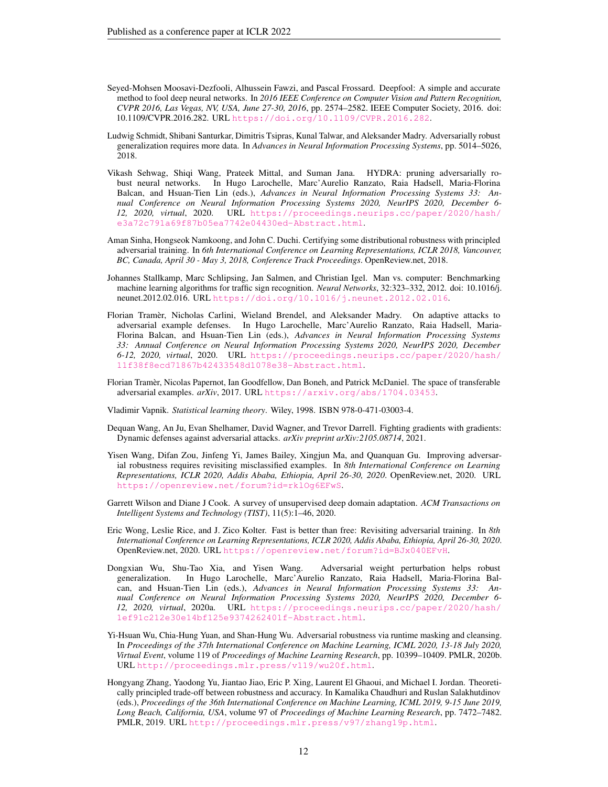- <span id="page-11-5"></span>Seyed-Mohsen Moosavi-Dezfooli, Alhussein Fawzi, and Pascal Frossard. Deepfool: A simple and accurate method to fool deep neural networks. In *2016 IEEE Conference on Computer Vision and Pattern Recognition, CVPR 2016, Las Vegas, NV, USA, June 27-30, 2016*, pp. 2574–2582. IEEE Computer Society, 2016. doi: 10.1109/CVPR.2016.282. URL <https://doi.org/10.1109/CVPR.2016.282>.
- <span id="page-11-1"></span>Ludwig Schmidt, Shibani Santurkar, Dimitris Tsipras, Kunal Talwar, and Aleksander Madry. Adversarially robust generalization requires more data. In *Advances in Neural Information Processing Systems*, pp. 5014–5026, 2018.
- <span id="page-11-10"></span>Vikash Sehwag, Shiqi Wang, Prateek Mittal, and Suman Jana. HYDRA: pruning adversarially robust neural networks. In Hugo Larochelle, Marc'Aurelio Ranzato, Raia Hadsell, Maria-Florina Balcan, and Hsuan-Tien Lin (eds.), *Advances in Neural Information Processing Systems 33: Annual Conference on Neural Information Processing Systems 2020, NeurIPS 2020, December 6- 12, 2020, virtual*, 2020. URL [https://proceedings.neurips.cc/paper/2020/hash/](https://proceedings.neurips.cc/paper/2020/hash/e3a72c791a69f87b05ea7742e04430ed-Abstract.html) [e3a72c791a69f87b05ea7742e04430ed-Abstract.html](https://proceedings.neurips.cc/paper/2020/hash/e3a72c791a69f87b05ea7742e04430ed-Abstract.html).
- <span id="page-11-0"></span>Aman Sinha, Hongseok Namkoong, and John C. Duchi. Certifying some distributional robustness with principled adversarial training. In *6th International Conference on Learning Representations, ICLR 2018, Vancouver, BC, Canada, April 30 - May 3, 2018, Conference Track Proceedings*. OpenReview.net, 2018.
- <span id="page-11-14"></span>Johannes Stallkamp, Marc Schlipsing, Jan Salmen, and Christian Igel. Man vs. computer: Benchmarking machine learning algorithms for traffic sign recognition. *Neural Networks*, 32:323–332, 2012. doi: 10.1016/j. neunet.2012.02.016. URL <https://doi.org/10.1016/j.neunet.2012.02.016>.
- <span id="page-11-6"></span>Florian Tramèr, Nicholas Carlini, Wieland Brendel, and Aleksander Madry. On adaptive attacks to adversarial example defenses. In Hugo Larochelle, Marc'Aurelio Ranzato, Raia Hadsell, Maria-Florina Balcan, and Hsuan-Tien Lin (eds.), *Advances in Neural Information Processing Systems 33: Annual Conference on Neural Information Processing Systems 2020, NeurIPS 2020, December 6-12, 2020, virtual*, 2020. URL [https://proceedings.neurips.cc/paper/2020/hash/](https://proceedings.neurips.cc/paper/2020/hash/11f38f8ecd71867b42433548d1078e38-Abstract.html) [11f38f8ecd71867b42433548d1078e38-Abstract.html](https://proceedings.neurips.cc/paper/2020/hash/11f38f8ecd71867b42433548d1078e38-Abstract.html).
- <span id="page-11-8"></span>Florian Tramèr, Nicolas Papernot, Ian Goodfellow, Dan Boneh, and Patrick McDaniel. The space of transferable adversarial examples. *arXiv*, 2017. URL <https://arxiv.org/abs/1704.03453>.
- <span id="page-11-2"></span>Vladimir Vapnik. *Statistical learning theory*. Wiley, 1998. ISBN 978-0-471-03003-4.
- <span id="page-11-4"></span>Dequan Wang, An Ju, Evan Shelhamer, David Wagner, and Trevor Darrell. Fighting gradients with gradients: Dynamic defenses against adversarial attacks. *arXiv preprint arXiv:2105.08714*, 2021.
- <span id="page-11-11"></span>Yisen Wang, Difan Zou, Jinfeng Yi, James Bailey, Xingjun Ma, and Quanquan Gu. Improving adversarial robustness requires revisiting misclassified examples. In *8th International Conference on Learning Representations, ICLR 2020, Addis Ababa, Ethiopia, April 26-30, 2020*. OpenReview.net, 2020. URL <https://openreview.net/forum?id=rklOg6EFwS>.
- <span id="page-11-13"></span>Garrett Wilson and Diane J Cook. A survey of unsupervised deep domain adaptation. *ACM Transactions on Intelligent Systems and Technology (TIST)*, 11(5):1–46, 2020.
- <span id="page-11-12"></span>Eric Wong, Leslie Rice, and J. Zico Kolter. Fast is better than free: Revisiting adversarial training. In *8th International Conference on Learning Representations, ICLR 2020, Addis Ababa, Ethiopia, April 26-30, 2020*. OpenReview.net, 2020. URL <https://openreview.net/forum?id=BJx040EFvH>.
- <span id="page-11-9"></span>Dongxian Wu, Shu-Tao Xia, and Yisen Wang. Adversarial weight perturbation helps robust generalization. In Hugo Larochelle, Marc'Aurelio Ranzato, Raia Hadsell, Maria-Florina Balcan, and Hsuan-Tien Lin (eds.), *Advances in Neural Information Processing Systems 33: Annual Conference on Neural Information Processing Systems 2020, NeurIPS 2020, December 6- 12, 2020, virtual*, 2020a. URL [https://proceedings.neurips.cc/paper/2020/hash/](https://proceedings.neurips.cc/paper/2020/hash/1ef91c212e30e14bf125e9374262401f-Abstract.html) [1ef91c212e30e14bf125e9374262401f-Abstract.html](https://proceedings.neurips.cc/paper/2020/hash/1ef91c212e30e14bf125e9374262401f-Abstract.html).
- <span id="page-11-3"></span>Yi-Hsuan Wu, Chia-Hung Yuan, and Shan-Hung Wu. Adversarial robustness via runtime masking and cleansing. In *Proceedings of the 37th International Conference on Machine Learning, ICML 2020, 13-18 July 2020, Virtual Event*, volume 119 of *Proceedings of Machine Learning Research*, pp. 10399–10409. PMLR, 2020b. URL <http://proceedings.mlr.press/v119/wu20f.html>.
- <span id="page-11-7"></span>Hongyang Zhang, Yaodong Yu, Jiantao Jiao, Eric P. Xing, Laurent El Ghaoui, and Michael I. Jordan. Theoretically principled trade-off between robustness and accuracy. In Kamalika Chaudhuri and Ruslan Salakhutdinov (eds.), *Proceedings of the 36th International Conference on Machine Learning, ICML 2019, 9-15 June 2019, Long Beach, California, USA*, volume 97 of *Proceedings of Machine Learning Research*, pp. 7472–7482. PMLR, 2019. URL <http://proceedings.mlr.press/v97/zhang19p.html>.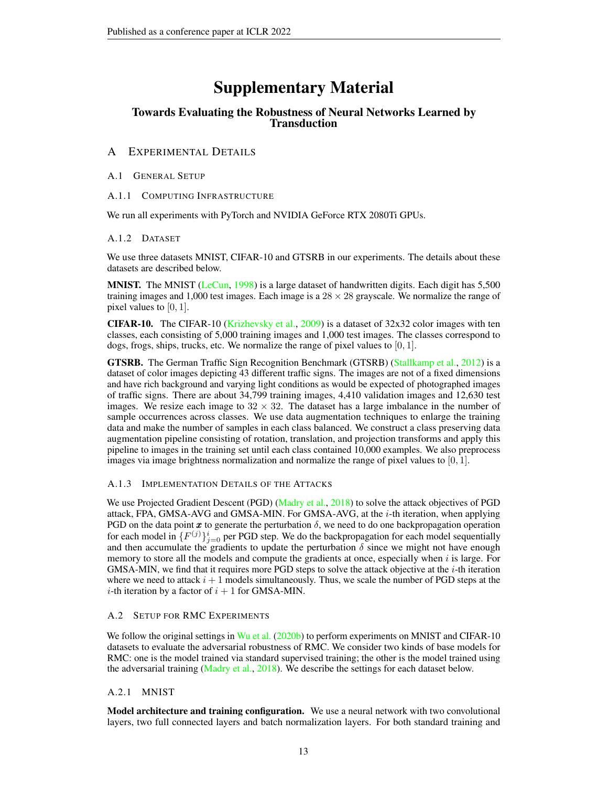# Supplementary Material

# Towards Evaluating the Robustness of Neural Networks Learned by **Transduction**

# <span id="page-12-1"></span>A EXPERIMENTAL DETAILS

## A.1 GENERAL SETUP

A.1.1 COMPUTING INFRASTRUCTURE

We run all experiments with PyTorch and NVIDIA GeForce RTX 2080Ti GPUs.

## A.1.2 DATASET

We use three datasets MNIST, CIFAR-10 and GTSRB in our experiments. The details about these datasets are described below.

**MNIST.** The MNIST [\(LeCun,](#page-10-12) [1998\)](#page-10-12) is a large dataset of handwritten digits. Each digit has  $5,500$ training images and 1,000 test images. Each image is a  $28 \times 28$  grayscale. We normalize the range of pixel values to  $[0, 1]$ .

**CIFAR-10.** The CIFAR-10 [\(Krizhevsky et al.,](#page-10-13) [2009\)](#page-10-13) is a dataset of  $32x32$  color images with ten classes, each consisting of 5,000 training images and 1,000 test images. The classes correspond to dogs, frogs, ships, trucks, etc. We normalize the range of pixel values to  $[0, 1]$ .

GTSRB. The German Traffic Sign Recognition Benchmark (GTSRB) [\(Stallkamp et al.,](#page-11-14) [2012\)](#page-11-14) is a dataset of color images depicting 43 different traffic signs. The images are not of a fixed dimensions and have rich background and varying light conditions as would be expected of photographed images of traffic signs. There are about 34,799 training images, 4,410 validation images and 12,630 test images. We resize each image to  $32 \times 32$ . The dataset has a large imbalance in the number of sample occurrences across classes. We use data augmentation techniques to enlarge the training data and make the number of samples in each class balanced. We construct a class preserving data augmentation pipeline consisting of rotation, translation, and projection transforms and apply this pipeline to images in the training set until each class contained 10,000 examples. We also preprocess images via image brightness normalization and normalize the range of pixel values to  $[0, 1]$ .

# <span id="page-12-0"></span>A.1.3 IMPLEMENTATION DETAILS OF THE ATTACKS

We use Projected Gradient Descent (PGD) [\(Madry et al.,](#page-10-1) [2018\)](#page-10-1) to solve the attack objectives of PGD attack, FPA, GMSA-AVG and GMSA-MIN. For GMSA-AVG, at the  $i$ -th iteration, when applying PGD on the data point  $x$  to generate the perturbation  $\delta$ , we need to do one backpropagation operation for each model in  $\{F^{(j)}\}_{j=0}^i$  per PGD step. We do the backpropagation for each model sequentially and then accumulate the gradients to update the perturbation  $\delta$  since we might not have enough memory to store all the models and compute the gradients at once, especially when  $i$  is large. For GMSA-MIN, we find that it requires more PGD steps to solve the attack objective at the i-th iteration where we need to attack  $i + 1$  models simultaneously. Thus, we scale the number of PGD steps at the *i*-th iteration by a factor of  $i + 1$  for GMSA-MIN.

# A.2 SETUP FOR RMC EXPERIMENTS

We follow the original settings in [Wu et al.](#page-11-3) [\(2020b\)](#page-11-3) to perform experiments on MNIST and CIFAR-10 datasets to evaluate the adversarial robustness of RMC. We consider two kinds of base models for RMC: one is the model trained via standard supervised training; the other is the model trained using the adversarial training [\(Madry et al.,](#page-10-1) [2018\)](#page-10-1). We describe the settings for each dataset below.

# A.2.1 MNIST

Model architecture and training configuration. We use a neural network with two convolutional layers, two full connected layers and batch normalization layers. For both standard training and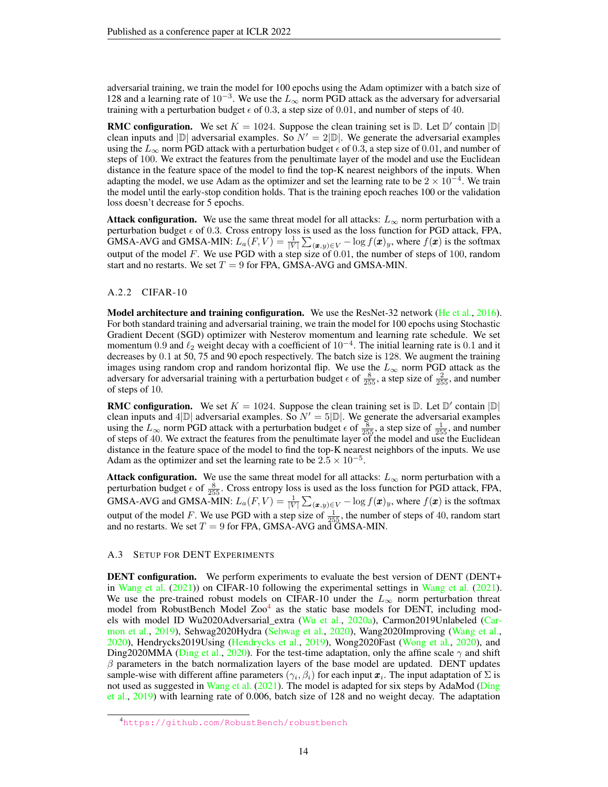adversarial training, we train the model for 100 epochs using the Adam optimizer with a batch size of 128 and a learning rate of  $10^{-3}$ . We use the  $L_{\infty}$  norm PGD attack as the adversary for adversarial training with a perturbation budget  $\epsilon$  of 0.3, a step size of 0.01, and number of steps of 40.

**RMC configuration.** We set  $K = 1024$ . Suppose the clean training set is  $\mathbb{D}$ . Let  $\mathbb{D}'$  contain  $|\mathbb{D}|$ clean inputs and  $|\mathbb{D}|$  adversarial examples. So  $N' = 2|\mathbb{D}|$ . We generate the adversarial examples using the  $L_{\infty}$  norm PGD attack with a perturbation budget  $\epsilon$  of 0.3, a step size of 0.01, and number of steps of 100. We extract the features from the penultimate layer of the model and use the Euclidean distance in the feature space of the model to find the top-K nearest neighbors of the inputs. When adapting the model, we use Adam as the optimizer and set the learning rate to be  $2 \times 10^{-4}$ . We train the model until the early-stop condition holds. That is the training epoch reaches 100 or the validation loss doesn't decrease for 5 epochs.

**Attack configuration.** We use the same threat model for all attacks:  $L_{\infty}$  norm perturbation with a perturbation budget  $\epsilon$  of 0.3. Cross entropy loss is used as the loss function for PGD attack, FPA, GMSA-AVG and GMSA-MIN:  $L_a(F, V) = \frac{1}{|V|} \sum_{(\pmb{x}, y) \in V} - \log f(\pmb{x})_y$ , where  $f(\pmb{x})$  is the softmax output of the model  $F$ . We use PGD with a step size of 0.01, the number of steps of 100, random start and no restarts. We set  $T = 9$  for FPA, GMSA-AVG and GMSA-MIN.

### A.2.2 CIFAR-10

Model architecture and training configuration. We use the ResNet-32 network [\(He et al.,](#page-10-14) [2016\)](#page-10-14). For both standard training and adversarial training, we train the model for 100 epochs using Stochastic Gradient Decent (SGD) optimizer with Nesterov momentum and learning rate schedule. We set momentum 0.9 and  $\ell_2$  weight decay with a coefficient of  $10^{-4}$ . The initial learning rate is 0.1 and it decreases by 0.1 at 50, 75 and 90 epoch respectively. The batch size is 128. We augment the training images using random crop and random horizontal flip. We use the  $L_{\infty}$  norm PGD attack as the adversary for adversarial training with a perturbation budget  $\epsilon$  of  $\frac{8}{255}$ , a step size of  $\frac{2}{255}$ , and number of steps of 10.

**RMC configuration.** We set  $K = 1024$ . Suppose the clean training set is  $\mathbb{D}$ . Let  $\mathbb{D}'$  contain  $|\mathbb{D}|$ clean inputs and 4 $|\mathbb{D}|$  adversarial examples. So  $N' = 5|\mathbb{D}|$ . We generate the adversarial examples using the  $L_{\infty}$  norm PGD attack with a perturbation budget  $\epsilon$  of  $\frac{8}{255}$ , a step size of  $\frac{1}{255}$ , and number of steps of 40. We extract the features from the penultimate layer of the model and use the Euclidean distance in the feature space of the model to find the top-K nearest neighbors of the inputs. We use Adam as the optimizer and set the learning rate to be  $2.5 \times 10^{-5}$ .

Attack configuration. We use the same threat model for all attacks:  $L_{\infty}$  norm perturbation with a perturbation budget  $\epsilon$  of  $\frac{8}{255}$ . Cross entropy loss is used as the loss function for PGD attack, FPA, GMSA-AVG and GMSA-MIN:  $L_a(F, V) = \frac{1}{|V|} \sum_{(\pmb{x}, y) \in V} - \log f(\pmb{x})_y$ , where  $f(\pmb{x})$  is the softmax output of the model F. We use PGD with a step size of  $\frac{1}{255}$ , the number of steps of 40, random start and no restarts. We set  $T = 9$  for FPA, GMSA-AVG and GMSA-MIN.

### <span id="page-13-0"></span>A.3 SETUP FOR DENT EXPERIMENTS

DENT configuration. We perform experiments to evaluate the best version of DENT (DENT+ in [Wang et al.](#page-11-4) [\(2021\)](#page-11-4)) on CIFAR-10 following the experimental settings in [Wang et al.](#page-11-4) [\(2021\)](#page-11-4). We use the pre-trained robust models on CIFAR-10 under the  $L_{\infty}$  norm perturbation threat model from RobustBench Model Zoo<sup>[4](#page-13-1)</sup> as the static base models for DENT, including models with model ID Wu2020Adversarial\_extra [\(Wu et al.,](#page-11-9) [2020a\)](#page-11-9), Carmon2019Unlabeled [\(Car](#page-9-0)[mon et al.,](#page-9-0) [2019\)](#page-9-0), Sehwag2020Hydra [\(Sehwag et al.,](#page-11-10) [2020\)](#page-11-10), Wang2020Improving [\(Wang et al.,](#page-11-11) [2020\)](#page-11-11), Hendrycks2019Using [\(Hendrycks et al.,](#page-10-9) [2019\)](#page-10-9), Wong2020Fast [\(Wong et al.,](#page-11-12) [2020\)](#page-11-12), and Ding2020MMA [\(Ding et al.,](#page-10-10) [2020\)](#page-10-10). For the test-time adaptation, only the affine scale  $\gamma$  and shift  $\beta$  parameters in the batch normalization layers of the base model are updated. DENT updates sample-wise with different affine parameters  $(\gamma_i, \beta_i)$  for each input  $\pmb{x}_i$ . The input adaptation of  $\Sigma$  is not used as suggested in [Wang et al.](#page-11-4) [\(2021\)](#page-11-4). The model is adapted for six steps by AdaMod [\(Ding](#page-10-11) [et al.,](#page-10-11) [2019\)](#page-10-11) with learning rate of 0.006, batch size of 128 and no weight decay. The adaptation

<span id="page-13-1"></span><sup>4</sup><https://github.com/RobustBench/robustbench>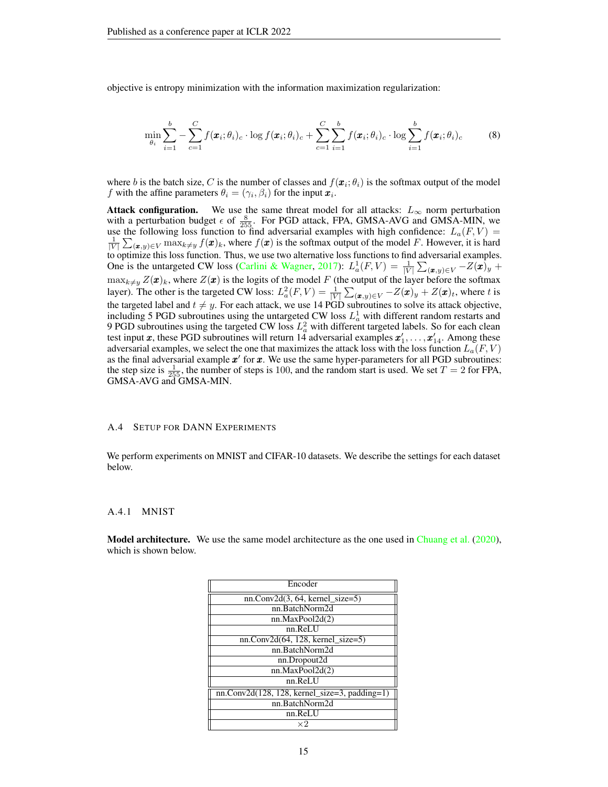objective is entropy minimization with the information maximization regularization:

$$
\min_{\theta_i} \sum_{i=1}^b -\sum_{c=1}^C f(\boldsymbol{x}_i; \theta_i)_c \cdot \log f(\boldsymbol{x}_i; \theta_i)_c + \sum_{c=1}^C \sum_{i=1}^b f(\boldsymbol{x}_i; \theta_i)_c \cdot \log \sum_{i=1}^b f(\boldsymbol{x}_i; \theta_i)_c \tag{8}
$$

where b is the batch size, C is the number of classes and  $f(\mathbf{x}_i; \theta_i)$  is the softmax output of the model f with the affine parameters  $\theta_i = (\gamma_i, \beta_i)$  for the input  $\boldsymbol{x}_i$ .

Attack configuration. We use the same threat model for all attacks:  $L_{\infty}$  norm perturbation with a perturbation budget  $\epsilon$  of  $\frac{8}{255}$ . For PGD attack, FPA, GMSA-AVG and GMSA-MIN, we use the following loss function to find adversarial examples with high confidence:  $L_a(F, V)$  =  $\frac{1}{|V|} \sum_{(\bm{x},y) \in V} \max_{k \neq y} f(\bm{x})_k$ , where  $f(\bm{x})$  is the softmax output of the model F. However, it is hard to optimize this loss function. Thus, we use two alternative loss functions to find adversarial examples. One is the untargeted CW loss [\(Carlini & Wagner,](#page-9-5) [2017\)](#page-9-5):  $L_a^1(F, V) = \frac{1}{|V|} \sum_{(\bm{x}, y) \in V} - Z(\bm{x})_y +$  $\max_{k\neq y} Z(\pmb{x})_k$ , where  $Z(\pmb{x})$  is the logits of the model  $F$  (the output of the layer before the softmax layer). The other is the targeted CW loss:  $L_a^2(F, V) = \frac{1}{|V|} \sum_{(\bm{x}, y) \in V} - Z(\bm{x})_y + Z(\bm{x})_t$ , where t is the targeted label and  $t \neq y$ . For each attack, we use 14 PGD subroutines to solve its attack objective, including 5 PGD subroutines using the untargeted CW loss  $L_a^1$  with different random restarts and 9 PGD subroutines using the targeted CW loss  $L<sub>a</sub><sup>2</sup>$  with different targeted labels. So for each clean test input x, these PGD subroutines will return  $14$  adversarial examples  $x'_1, \ldots, x'_{14}$ . Among these adversarial examples, we select the one that maximizes the attack loss with the loss function  $L_a(F, V)$ as the final adversarial example  $x'$  for  $x$ . We use the same hyper-parameters for all PGD subroutines: the step size is  $\frac{1}{255}$ , the number of steps is 100, and the random start is used. We set  $T = 2$  for FPA, GMSA-AVG and GMSA-MIN.

### A.4 SETUP FOR DANN EXPERIMENTS

We perform experiments on MNIST and CIFAR-10 datasets. We describe the settings for each dataset below.

#### A.4.1 MNIST

**Model architecture.** We use the same model architecture as the one used in [Chuang et al.](#page-9-9) [\(2020\)](#page-9-9), which is shown below.

| Encoder                                         |  |  |  |  |  |  |
|-------------------------------------------------|--|--|--|--|--|--|
| $nn.Conv2d(3, 64, kernel size=5)$               |  |  |  |  |  |  |
| nn.BatchNorm2d                                  |  |  |  |  |  |  |
| nn.MaxPool2d(2)                                 |  |  |  |  |  |  |
| nn.ReLU                                         |  |  |  |  |  |  |
| $nn.Conv2d(64, 128, kernel_size=5)$             |  |  |  |  |  |  |
| nn.BatchNorm2d                                  |  |  |  |  |  |  |
| nn.Dropout2d                                    |  |  |  |  |  |  |
| nn.MaxPool2d(2)                                 |  |  |  |  |  |  |
| nn.ReLU                                         |  |  |  |  |  |  |
| $nn.Conv2d(128, 128, kernel_size=3, padding=1)$ |  |  |  |  |  |  |
| nn.BatchNorm2d                                  |  |  |  |  |  |  |
| nn.ReLU                                         |  |  |  |  |  |  |
| ×2                                              |  |  |  |  |  |  |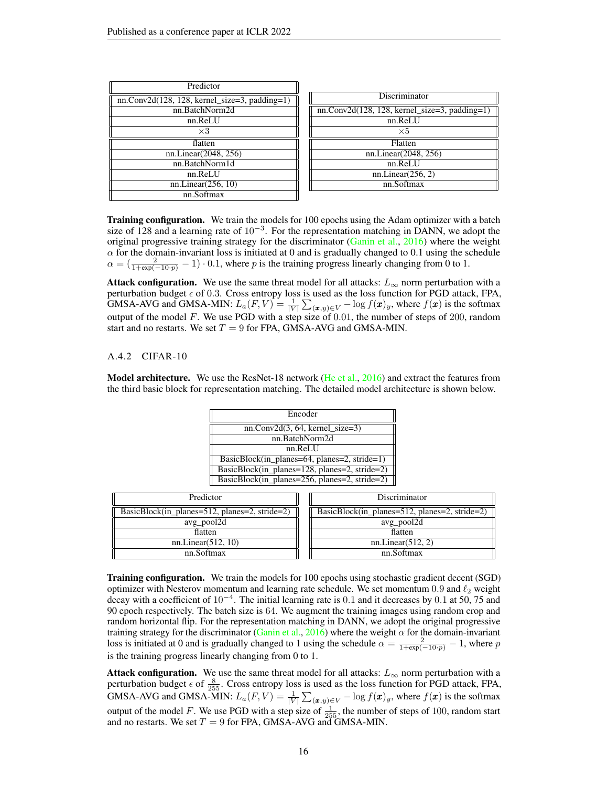| Predictor                                       |
|-------------------------------------------------|
| $nn.Conv2d(128, 128, kernel_size=3, padding=1)$ |
| nn.BatchNorm2d                                  |
| nn.ReLU                                         |
| $\times 3$                                      |
| flatten                                         |
| nn.Linear(2048, 256)                            |
| nn.BatchNorm1d                                  |
| nn.ReLU                                         |
| nn.Linear(256, 10)                              |
| nn.Softmax                                      |

| <b>Discriminator</b>                            |
|-------------------------------------------------|
| $nn.Conv2d(128, 128, kernel_size=3, padding=1)$ |
| nn.ReLU                                         |
| $\times 5$                                      |
| Flatten                                         |
| nn.Linear(2048, 256)                            |
| nn.ReLU                                         |
| nn.Linear(256, 2)                               |
| nn.Softmax                                      |
|                                                 |

**Training configuration.** We train the models for 100 epochs using the Adam optimizer with a batch size of 128 and a learning rate of  $10^{-3}$ . For the representation matching in DANN, we adopt the original progressive training strategy for the discriminator [\(Ganin et al.,](#page-10-15) [2016\)](#page-10-15) where the weight  $\alpha$  for the domain-invariant loss is initiated at 0 and is gradually changed to 0.1 using the schedule  $\alpha = (\frac{2}{1+\exp(-10\cdot p)}-1)\cdot 0.1$ , where p is the training progress linearly changing from 0 to 1.

Attack configuration. We use the same threat model for all attacks:  $L_{\infty}$  norm perturbation with a perturbation budget  $\epsilon$  of 0.3. Cross entropy loss is used as the loss function for PGD attack, FPA, GMSA-AVG and GMSA-MIN:  $L_a(F, V) = \frac{1}{|V|} \sum_{(\pmb{x}, y) \in V} - \log f(\pmb{x})_y$ , where  $f(\pmb{x})$  is the softmax output of the model  $F$ . We use PGD with a step size of 0.01, the number of steps of 200, random start and no restarts. We set  $T = 9$  for FPA, GMSA-AVG and GMSA-MIN.

### A.4.2 CIFAR-10

**Model architecture.** We use the ResNet-18 network [\(He et al.,](#page-10-14) [2016\)](#page-10-14) and extract the features from the third basic block for representation matching. The detailed model architecture is shown below.

| Encoder                                                   |  |
|-----------------------------------------------------------|--|
| $nn.Conv2d(3, 64, kernel size=3)$                         |  |
| nn.BatchNorm2d                                            |  |
| nn ReLU                                                   |  |
| BasicBlock(in planes= $64$ , planes= $2$ , stride= $1$ )  |  |
| BasicBlock(in_planes=128, planes=2, stride=2)             |  |
| BasicBlock(in planes= $256$ , planes= $2$ , stride= $2$ ) |  |

| Predictor                                                 | Discriminator                                             |
|-----------------------------------------------------------|-----------------------------------------------------------|
| BasicBlock(in_planes= $512$ , planes= $2$ , stride= $2$ ) | BasicBlock(in_planes= $512$ , planes= $2$ , stride= $2$ ) |
| avg_pool2d                                                | avg_pool2d                                                |
| flatten                                                   | flatten                                                   |
| nn.Linear(512, 10)                                        | nn.Linear(512, 2)                                         |
| nn.Softmax                                                | nn.Softmax                                                |

Training configuration. We train the models for 100 epochs using stochastic gradient decent (SGD) optimizer with Nesterov momentum and learning rate schedule. We set momentum 0.9 and  $\ell_2$  weight decay with a coefficient of  $10^{-4}$ . The initial learning rate is 0.1 and it decreases by 0.1 at 50, 75 and 90 epoch respectively. The batch size is 64. We augment the training images using random crop and random horizontal flip. For the representation matching in DANN, we adopt the original progressive training strategy for the discriminator [\(Ganin et al.,](#page-10-15) [2016\)](#page-10-15) where the weight  $\alpha$  for the domain-invariant loss is initiated at 0 and is gradually changed to 1 using the schedule  $\alpha = \frac{2}{1+\exp(-10 \cdot p)} - 1$ , where p is the training progress linearly changing from 0 to 1.

Attack configuration. We use the same threat model for all attacks:  $L_{\infty}$  norm perturbation with a perturbation budget  $\epsilon$  of  $\frac{8}{255}$ . Cross entropy loss is used as the loss function for PGD attack, FPA, GMSA-AVG and GMSA-MIN:  $L_a(F, V) = \frac{1}{|V|} \sum_{(\pmb{x}, y) \in V} - \log f(\pmb{x})_y$ , where  $f(\pmb{x})$  is the softmax output of the model F. We use PGD with a step size of  $\frac{1}{255}$ , the number of steps of 100, random start and no restarts. We set  $T = 9$  for FPA, GMSA-AVG and GMSA-MIN.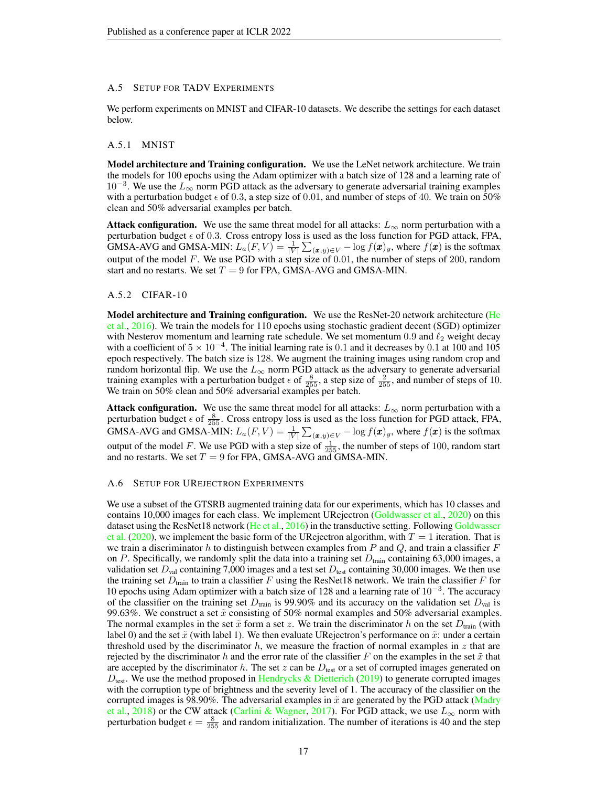### A.5 SETUP FOR TADV EXPERIMENTS

We perform experiments on MNIST and CIFAR-10 datasets. We describe the settings for each dataset below.

### A.5.1 MNIST

**Model architecture and Training configuration.** We use the LeNet network architecture. We train the models for 100 epochs using the Adam optimizer with a batch size of 128 and a learning rate of  $10^{-3}$ . We use the  $L_{\infty}$  norm PGD attack as the adversary to generate adversarial training examples with a perturbation budget  $\epsilon$  of 0.3, a step size of 0.01, and number of steps of 40. We train on 50% clean and 50% adversarial examples per batch.

**Attack configuration.** We use the same threat model for all attacks:  $L_{\infty}$  norm perturbation with a perturbation budget  $\epsilon$  of 0.3. Cross entropy loss is used as the loss function for PGD attack, FPA, GMSA-AVG and GMSA-MIN:  $L_a(F, V) = \frac{1}{|V|} \sum_{(\pmb{x}, y) \in V} - \log f(\pmb{x})_y$ , where  $f(\pmb{x})$  is the softmax output of the model  $F$ . We use PGD with a step size of 0.01, the number of steps of 200, random start and no restarts. We set  $T = 9$  for FPA, GMSA-AVG and GMSA-MIN.

### A.5.2 CIFAR-10

**Model architecture and Training configuration.** We use the ResNet-20 network architecture [\(He](#page-10-14) [et al.,](#page-10-14) [2016\)](#page-10-14). We train the models for 110 epochs using stochastic gradient decent (SGD) optimizer with Nesterov momentum and learning rate schedule. We set momentum 0.9 and  $\ell_2$  weight decay with a coefficient of  $5 \times 10^{-4}$ . The initial learning rate is 0.1 and it decreases by 0.1 at 100 and 105 epoch respectively. The batch size is 128. We augment the training images using random crop and random horizontal flip. We use the  $L_{\infty}$  norm PGD attack as the adversary to generate adversarial training examples with a perturbation budget  $\epsilon$  of  $\frac{8}{255}$ , a step size of  $\frac{2}{255}$ , and number of steps of 10. We train on 50% clean and 50% adversarial examples per batch.

**Attack configuration.** We use the same threat model for all attacks:  $L_{\infty}$  norm perturbation with a perturbation budget  $\epsilon$  of  $\frac{8}{255}$ . Cross entropy loss is used as the loss function for PGD attack, FPA, GMSA-AVG and GMSA-MIN:  $L_a(F, V) = \frac{1}{|V|} \sum_{(\pmb{x}, y) \in V} - \log f(\pmb{x})_y$ , where  $f(\pmb{x})$  is the softmax output of the model F. We use PGD with a step size of  $\frac{1}{255}$ , the number of steps of 100, random start and no restarts. We set  $T = 9$  for FPA, GMSA-AVG and GMSA-MIN.

### A.6 SETUP FOR UREJECTRON EXPERIMENTS

We use a subset of the GTSRB augmented training data for our experiments, which has 10 classes and contains 10,000 images for each class. We implement URejectron [\(Goldwasser et al.,](#page-10-2) [2020\)](#page-10-2) on this dataset using the ResNet18 network [\(He et al.,](#page-10-14) [2016\)](#page-10-14) in the transductive setting. Following [Goldwasser](#page-10-2) [et al.](#page-10-2) [\(2020\)](#page-10-2), we implement the basic form of the URejectron algorithm, with  $T = 1$  iteration. That is we train a discriminator h to distinguish between examples from P and Q, and train a classifier F on P. Specifically, we randomly split the data into a training set  $D<sub>train</sub>$  containing 63,000 images, a validation set  $D_{\text{val}}$  containing 7,000 images and a test set  $D_{\text{test}}$  containing 30,000 images. We then use the training set  $D_{\text{train}}$  to train a classifier F using the ResNet18 network. We train the classifier F for 10 epochs using Adam optimizer with a batch size of 128 and a learning rate of 10<sup>−</sup><sup>3</sup> . The accuracy of the classifier on the training set  $D_{\text{train}}$  is 99.90% and its accuracy on the validation set  $D_{\text{val}}$  is 99.63%. We construct a set  $\tilde{x}$  consisting of 50% normal examples and 50% adversarial examples. The normal examples in the set  $\tilde{x}$  form a set z. We train the discriminator h on the set  $D_{\text{train}}$  (with label 0) and the set  $\tilde{x}$  (with label 1). We then evaluate URejectron's performance on  $\tilde{x}$ : under a certain threshold used by the discriminator  $h$ , we measure the fraction of normal examples in  $z$  that are rejected by the discriminator h and the error rate of the classifier F on the examples in the set  $\tilde{x}$  that are accepted by the discriminator h. The set z can be  $D_{\text{test}}$  or a set of corrupted images generated on  $D_{\text{test}}$ . We use the method proposed in [Hendrycks & Dietterich](#page-10-16) [\(2019\)](#page-10-16) to generate corrupted images with the corruption type of brightness and the severity level of 1. The accuracy of the classifier on the corrupted images is 98.90%. The adversarial examples in  $\tilde{x}$  are generated by the PGD attack [\(Madry](#page-10-1) [et al.,](#page-10-1) [2018\)](#page-10-1) or the CW attack [\(Carlini & Wagner,](#page-9-5) [2017\)](#page-9-5). For PGD attack, we use  $L_{\infty}$  norm with perturbation budget  $\epsilon = \frac{8}{255}$  and random initialization. The number of iterations is 40 and the step